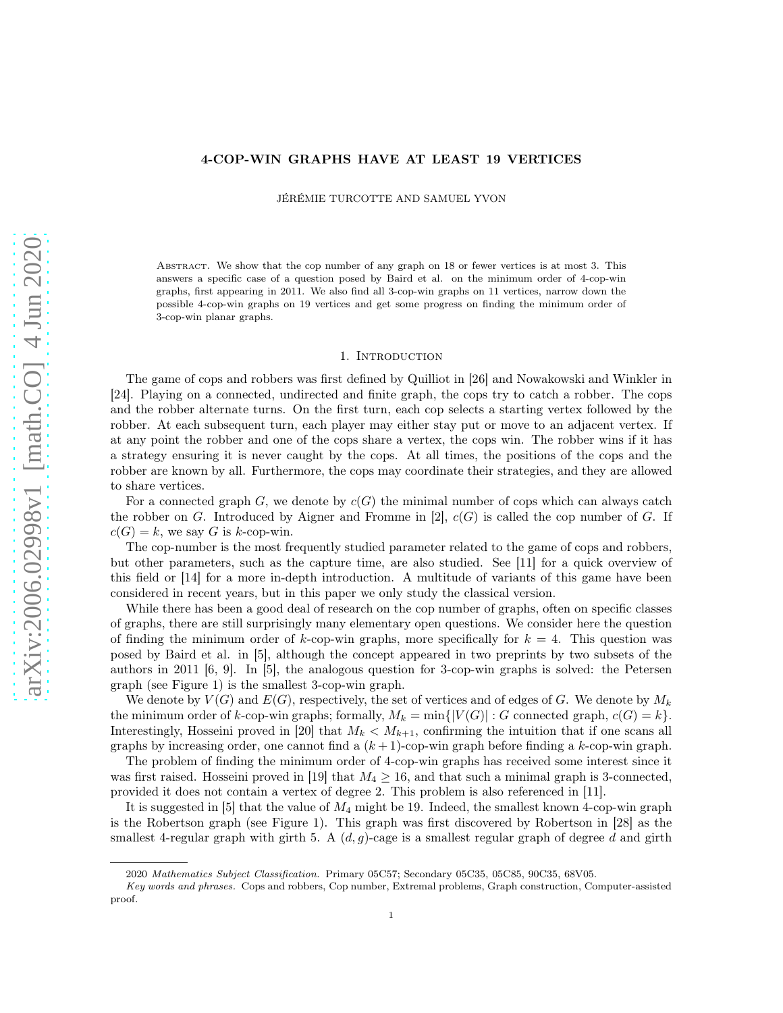### 4-COP-WIN GRAPHS HAVE AT LEAST 19 VERTICES

JÉRÉMIE TURCOTTE AND SAMUEL YVON

ABSTRACT. We show that the cop number of any graph on 18 or fewer vertices is at most 3. This answers a specific case of a question posed by Baird et al. on the minimum order of 4-cop-win graphs, first appearing in 2011. We also find all 3-cop-win graphs on 11 vertices, narrow down the possible 4-cop-win graphs on 19 vertices and get some progress on finding the minimum order of 3-cop-win planar graphs.

# 1. INTRODUCTION

The game of cops and robbers was first defined by Quilliot in [\[26\]](#page-26-0) and Nowakowski and Winkler in [\[24\]](#page-26-1). Playing on a connected, undirected and finite graph, the cops try to catch a robber. The cops and the robber alternate turns. On the first turn, each cop selects a starting vertex followed by the robber. At each subsequent turn, each player may either stay put or move to an adjacent vertex. If at any point the robber and one of the cops share a vertex, the cops win. The robber wins if it has a strategy ensuring it is never caught by the cops. At all times, the positions of the cops and the robber are known by all. Furthermore, the cops may coordinate their strategies, and they are allowed to share vertices.

For a connected graph  $G$ , we denote by  $c(G)$  the minimal number of cops which can always catch the robber on G. Introduced by Aigner and Fromme in  $[2]$ ,  $c(G)$  is called the cop number of G. If  $c(G) = k$ , we say G is k-cop-win.

The cop-number is the most frequently studied parameter related to the game of cops and robbers, but other parameters, such as the capture time, are also studied. See [\[11\]](#page-26-2) for a quick overview of this field or [\[14\]](#page-26-3) for a more in-depth introduction. A multitude of variants of this game have been considered in recent years, but in this paper we only study the classical version.

While there has been a good deal of research on the cop number of graphs, often on specific classes of graphs, there are still surprisingly many elementary open questions. We consider here the question of finding the minimum order of k-cop-win graphs, more specifically for  $k = 4$ . This question was posed by Baird et al. in [\[5\]](#page-25-1), although the concept appeared in two preprints by two subsets of the authors in 2011 [\[6,](#page-25-2) [9\]](#page-25-3). In [\[5\]](#page-25-1), the analogous question for 3-cop-win graphs is solved: the Petersen graph (see Figure [1\)](#page-1-0) is the smallest 3-cop-win graph.

We denote by  $V(G)$  and  $E(G)$ , respectively, the set of vertices and of edges of G. We denote by  $M_k$ the minimum order of k-cop-win graphs; formally,  $M_k = \min\{|V(G)| : G$  connected graph,  $c(G) = k\}$ . Interestingly, Hosseini proved in [\[20\]](#page-26-4) that  $M_k < M_{k+1}$ , confirming the intuition that if one scans all graphs by increasing order, one cannot find a  $(k+1)$ -cop-win graph before finding a k-cop-win graph.

The problem of finding the minimum order of 4-cop-win graphs has received some interest since it was first raised. Hosseini proved in [\[19\]](#page-26-5) that  $M_4 \geq 16$ , and that such a minimal graph is 3-connected, provided it does not contain a vertex of degree 2. This problem is also referenced in [\[11\]](#page-26-2).

It is suggested in  $[5]$  that the value of  $M_4$  might be 19. Indeed, the smallest known 4-cop-win graph is the Robertson graph (see Figure [1\)](#page-1-0). This graph was first discovered by Robertson in [\[28\]](#page-26-6) as the smallest 4-regular graph with girth 5. A  $(d, g)$ -cage is a smallest regular graph of degree d and girth

<sup>2020</sup> Mathematics Subject Classification. Primary 05C57; Secondary 05C35, 05C85, 90C35, 68V05.

Key words and phrases. Cops and robbers, Cop number, Extremal problems, Graph construction, Computer-assisted proof.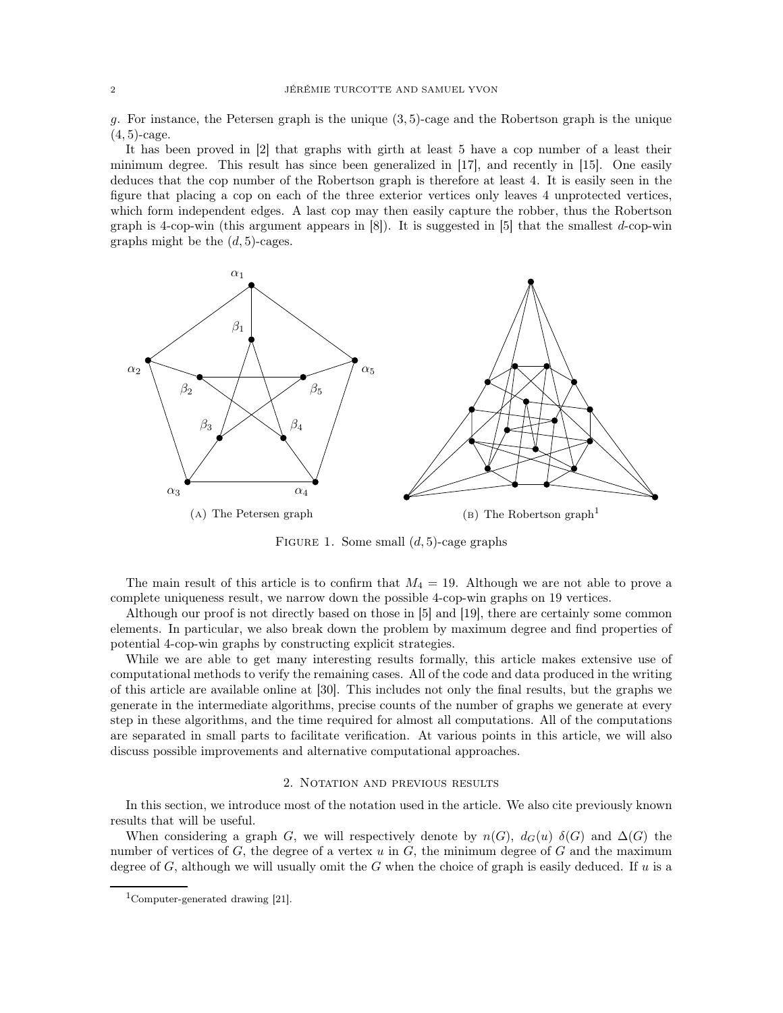g. For instance, the Petersen graph is the unique  $(3, 5)$ -cage and the Robertson graph is the unique  $(4, 5)$ -cage.

It has been proved in [\[2\]](#page-25-0) that graphs with girth at least 5 have a cop number of a least their minimum degree. This result has since been generalized in [\[17\]](#page-26-7), and recently in [\[15\]](#page-26-8). One easily deduces that the cop number of the Robertson graph is therefore at least 4. It is easily seen in the figure that placing a cop on each of the three exterior vertices only leaves 4 unprotected vertices, which form independent edges. A last cop may then easily capture the robber, thus the Robertson graph is 4-cop-win (this argument appears in  $[8]$ ). It is suggested in  $[5]$  that the smallest d-cop-win graphs might be the  $(d, 5)$ -cages.

<span id="page-1-0"></span>

FIGURE 1. Some small  $(d, 5)$ -cage graphs

The main result of this article is to confirm that  $M_4 = 19$ . Although we are not able to prove a complete uniqueness result, we narrow down the possible 4-cop-win graphs on 19 vertices.

Although our proof is not directly based on those in [\[5\]](#page-25-1) and [\[19\]](#page-26-5), there are certainly some common elements. In particular, we also break down the problem by maximum degree and find properties of potential 4-cop-win graphs by constructing explicit strategies.

While we are able to get many interesting results formally, this article makes extensive use of computational methods to verify the remaining cases. All of the code and data produced in the writing of this article are available online at [\[30\]](#page-26-9). This includes not only the final results, but the graphs we generate in the intermediate algorithms, precise counts of the number of graphs we generate at every step in these algorithms, and the time required for almost all computations. All of the computations are separated in small parts to facilitate verification. At various points in this article, we will also discuss possible improvements and alternative computational approaches.

#### 2. NOTATION AND PREVIOUS RESULTS

In this section, we introduce most of the notation used in the article. We also cite previously known results that will be useful.

When considering a graph G, we will respectively denote by  $n(G)$ ,  $d_G(u)$   $\delta(G)$  and  $\Delta(G)$  the number of vertices of  $G$ , the degree of a vertex  $u$  in  $G$ , the minimum degree of  $G$  and the maximum degree of G, although we will usually omit the G when the choice of graph is easily deduced. If u is a

<span id="page-1-1"></span><sup>&</sup>lt;sup>1</sup>Computer-generated drawing  $[21]$ .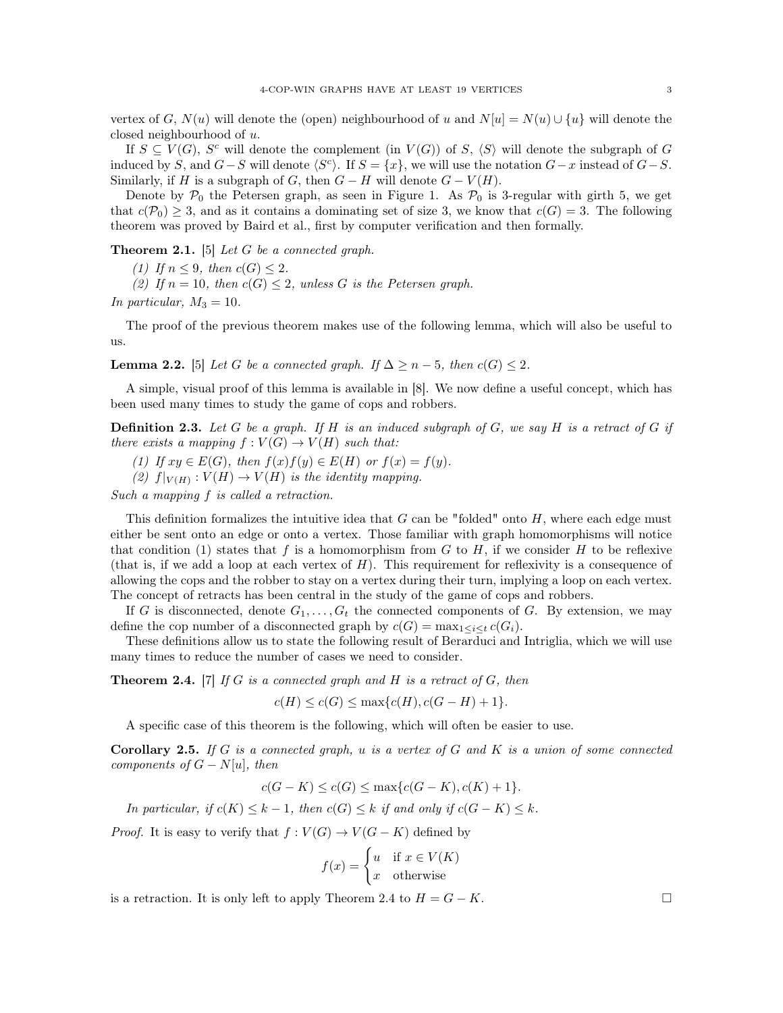vertex of G,  $N(u)$  will denote the (open) neighbourhood of u and  $N[u] = N(u) \cup \{u\}$  will denote the closed neighbourhood of u.

If  $S \subseteq V(G)$ ,  $S^c$  will denote the complement (in  $V(G)$ ) of S,  $\langle S \rangle$  will denote the subgraph of G induced by S, and  $G-S$  will denote  $\langle S^c \rangle$ . If  $S = \{x\}$ , we will use the notation  $G-x$  instead of  $G-S$ . Similarly, if H is a subgraph of G, then  $G - H$  will denote  $G - V(H)$ .

Denote by  $P_0$  the Petersen graph, as seen in Figure [1.](#page-1-0) As  $P_0$  is 3-regular with girth 5, we get that  $c(\mathcal{P}_0) \geq 3$ , and as it contains a dominating set of size 3, we know that  $c(G) = 3$ . The following theorem was proved by Baird et al., first by computer verification and then formally.

<span id="page-2-1"></span>Theorem 2.1. [\[5\]](#page-25-1) *Let* G *be a connected graph.*

*(1) If*  $n \leq 9$ *, then*  $c(G) \leq 2$ *.* 

(2) If  $n = 10$ , then  $c(G) \leq 2$ , unless G is the Petersen graph.

*In particular,*  $M_3 = 10$ *.* 

The proof of the previous theorem makes use of the following lemma, which will also be useful to us.

<span id="page-2-3"></span>**Lemma 2.2.** [\[5\]](#page-25-1) *Let* G *be a connected graph. If*  $\Delta \geq n-5$ *, then*  $c(G) \leq 2$ *.* 

A simple, visual proof of this lemma is available in [\[8\]](#page-25-4). We now define a useful concept, which has been used many times to study the game of cops and robbers.

Definition 2.3. *Let* G *be a graph. If* H *is an induced subgraph of* G*, we say* H *is a retract of* G *if there exists a mapping*  $f: V(G) \to V(H)$  *such that:* 

*(1) If*  $xy \in E(G)$ *, then*  $f(x)f(y) \in E(H)$  *or*  $f(x) = f(y)$ *.* 

(2)  $f|_{V(H)}: V(H) \to V(H)$  *is the identity mapping.* 

*Such a mapping* f *is called a retraction.*

This definition formalizes the intuitive idea that  $G$  can be "folded" onto  $H$ , where each edge must either be sent onto an edge or onto a vertex. Those familiar with graph homomorphisms will notice that condition (1) states that f is a homomorphism from G to H, if we consider H to be reflexive (that is, if we add a loop at each vertex of  $H$ ). This requirement for reflexivity is a consequence of allowing the cops and the robber to stay on a vertex during their turn, implying a loop on each vertex. The concept of retracts has been central in the study of the game of cops and robbers.

If G is disconnected, denote  $G_1, \ldots, G_t$  the connected components of G. By extension, we may define the cop number of a disconnected graph by  $c(G) = \max_{1 \leq i \leq t} c(G_i)$ .

These definitions allow us to state the following result of Berarduci and Intriglia, which we will use many times to reduce the number of cases we need to consider.

<span id="page-2-0"></span>Theorem 2.4. [\[7\]](#page-25-5) *If* G *is a connected graph and* H *is a retract of* G*, then*

 $c(H) \leq c(G) \leq \max\{c(H), c(G-H)+1\}.$ 

A specific case of this theorem is the following, which will often be easier to use.

<span id="page-2-2"></span>Corollary 2.5. *If* G *is a connected graph,* u *is a vertex of* G *and* K *is a union of some connected components of*  $G - N[u]$ *, then* 

$$
c(G - K) \le c(G) \le \max\{c(G - K), c(K) + 1\}.
$$

*In particular, if*  $c(K) \leq k - 1$ *, then*  $c(G) \leq k$  *if and only if*  $c(G - K) \leq k$ *.* 

*Proof.* It is easy to verify that  $f: V(G) \to V(G - K)$  defined by

$$
f(x) = \begin{cases} u & \text{if } x \in V(K) \\ x & \text{otherwise} \end{cases}
$$

is a retraction. It is only left to apply Theorem [2.4](#page-2-0) to  $H = G - K$ .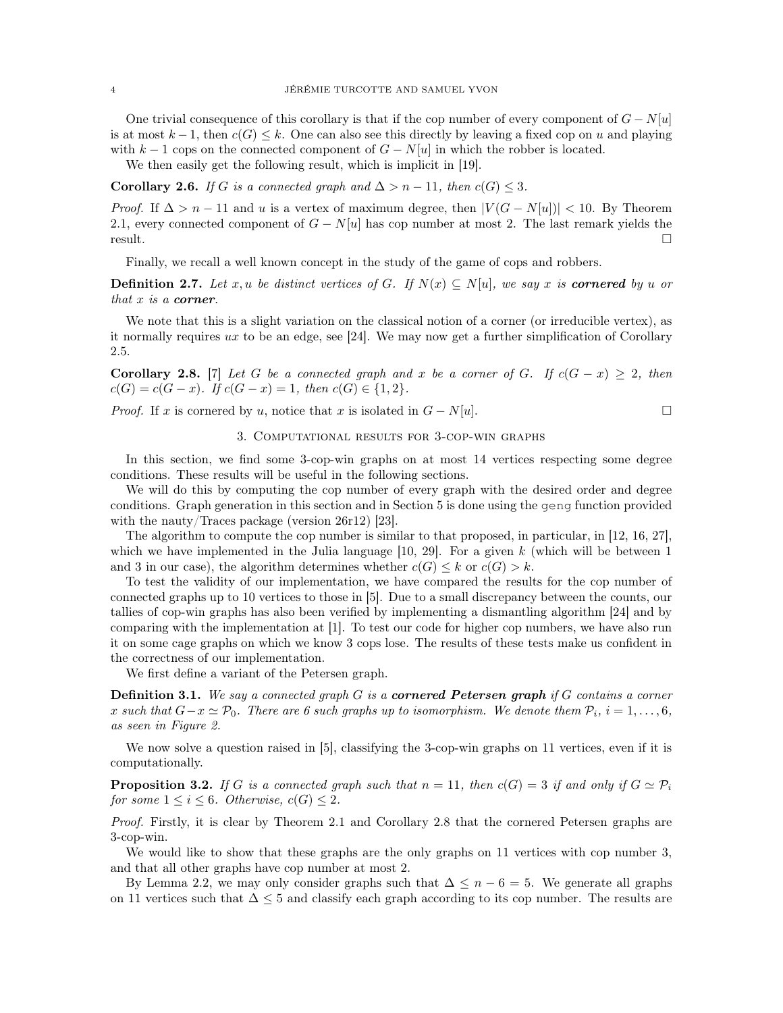One trivial consequence of this corollary is that if the cop number of every component of  $G - N[u]$ is at most  $k-1$ , then  $c(G) \leq k$ . One can also see this directly by leaving a fixed cop on u and playing with k − 1 cops on the connected component of  $G - N[u]$  in which the robber is located.

We then easily get the following result, which is implicit in [\[19\]](#page-26-5).

<span id="page-3-1"></span>Corollary 2.6. *If* G *is a connected graph and*  $\Delta > n - 11$ *, then*  $c(G) \leq 3$ *.* 

*Proof.* If  $\Delta > n - 11$  and u is a vertex of maximum degree, then  $|V(G - N[u])| < 10$ . By Theorem [2.1,](#page-2-1) every connected component of  $G - N[u]$  has cop number at most 2. The last remark yields the  $r$ esult.

Finally, we recall a well known concept in the study of the game of cops and robbers.

**Definition 2.7.** Let x, u be distinct vertices of G. If  $N(x) \subseteq N[u]$ , we say x is **cornered** by u or *that* x *is a* corner*.*

We note that this is a slight variation on the classical notion of a corner (or irreducible vertex), as it normally requires  $ux$  to be an edge, see [\[24\]](#page-26-1). We may now get a further simplification of Corollary [2.5.](#page-2-2)

<span id="page-3-0"></span>**Corollary 2.8.** [\[7\]](#page-25-5) *Let* G *be a connected graph and* x *be a corner of* G. If  $c(G - x) \geq 2$ *, then*  $c(G) = c(G - x)$ *.* If  $c(G - x) = 1$ *, then*  $c(G) \in \{1, 2\}$ *.* 

<span id="page-3-3"></span>*Proof.* If x is cornered by u, notice that x is isolated in  $G - N[u]$ .

# 3. Computational results for 3-cop-win graphs

In this section, we find some 3-cop-win graphs on at most 14 vertices respecting some degree conditions. These results will be useful in the following sections.

We will do this by computing the cop number of every graph with the desired order and degree conditions. Graph generation in this section and in Section [5](#page-15-0) is done using the geng function provided with the nauty/Traces package (version 26r12) [\[23\]](#page-26-11).

The algorithm to compute the cop number is similar to that proposed, in particular, in [\[12,](#page-26-12) [16,](#page-26-13) [27\]](#page-26-14), which we have implemented in the Julia language  $[10, 29]$  $[10, 29]$ . For a given k (which will be between 1 and 3 in our case), the algorithm determines whether  $c(G) \leq k$  or  $c(G) > k$ .

To test the validity of our implementation, we have compared the results for the cop number of connected graphs up to 10 vertices to those in [\[5\]](#page-25-1). Due to a small discrepancy between the counts, our tallies of cop-win graphs has also been verified by implementing a dismantling algorithm [\[24\]](#page-26-1) and by comparing with the implementation at [\[1\]](#page-25-7). To test our code for higher cop numbers, we have also run it on some cage graphs on which we know 3 cops lose. The results of these tests make us confident in the correctness of our implementation.

We first define a variant of the Petersen graph.

Definition 3.1. *We say a connected graph* G *is a* cornered Petersen graph *if* G *contains a corner* x such that  $G-x \simeq \mathcal{P}_0$ . There are 6 such graphs up to isomorphism. We denote them  $\mathcal{P}_i$ ,  $i = 1, \ldots, 6$ , *as seen in Figure [2.](#page-4-0)*

We now solve a question raised in [\[5\]](#page-25-1), classifying the 3-cop-win graphs on 11 vertices, even if it is computationally.

<span id="page-3-2"></span>**Proposition 3.2.** *If* G *is a connected graph such that*  $n = 11$ *, then*  $c(G) = 3$  *if and only if*  $G \simeq P_i$ *for some*  $1 \leq i \leq 6$ *. Otherwise,*  $c(G) \leq 2$ *.* 

*Proof.* Firstly, it is clear by Theorem [2.1](#page-2-1) and Corollary [2.8](#page-3-0) that the cornered Petersen graphs are 3-cop-win.

We would like to show that these graphs are the only graphs on 11 vertices with cop number 3, and that all other graphs have cop number at most 2.

By Lemma [2.2,](#page-2-3) we may only consider graphs such that  $\Delta \leq n-6=5$ . We generate all graphs on 11 vertices such that  $\Delta \leq 5$  and classify each graph according to its cop number. The results are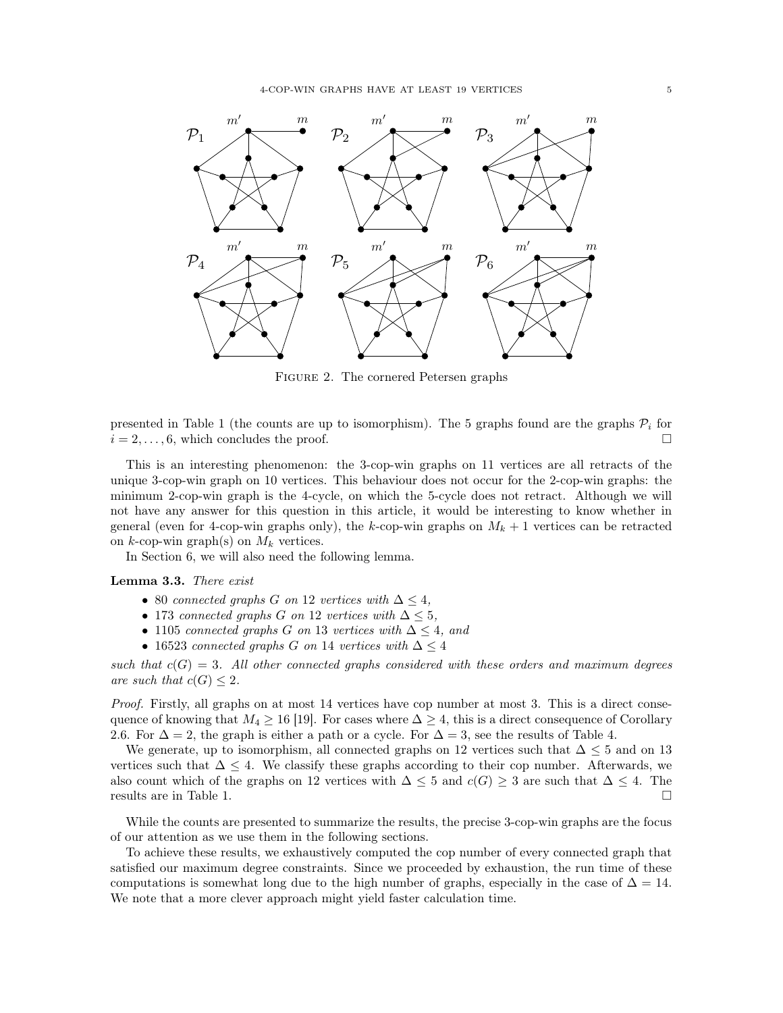<span id="page-4-0"></span>

Figure 2. The cornered Petersen graphs

presented in Table [1](#page-5-0) (the counts are up to isomorphism). The 5 graphs found are the graphs  $\mathcal{P}_i$  for  $i = 2, \ldots, 6$ , which concludes the proof.

This is an interesting phenomenon: the 3-cop-win graphs on 11 vertices are all retracts of the unique 3-cop-win graph on 10 vertices. This behaviour does not occur for the 2-cop-win graphs: the minimum 2-cop-win graph is the 4-cycle, on which the 5-cycle does not retract. Although we will not have any answer for this question in this article, it would be interesting to know whether in general (even for 4-cop-win graphs only), the k-cop-win graphs on  $M_k + 1$  vertices can be retracted on  $k$ -cop-win graph(s) on  $M_k$  vertices.

In Section [6,](#page-16-0) we will also need the following lemma.

<span id="page-4-1"></span>Lemma 3.3. *There exist*

- 80 *connected graphs* G *on* 12 *vertices with*  $\Delta \leq 4$ *,*
- 173 *connected graphs* G *on* 12 *vertices with* ∆ ≤ 5*,*
- 1105 *connected graphs* G *on* 13 *vertices with*  $\Delta \leq 4$ *, and*
- 16523 *connected graphs* G *on* 14 *vertices with* ∆ ≤ 4

 $such that$   $c(G) = 3$ . All other connected graphs considered with these orders and maximum degrees *are such that*  $c(G) \leq 2$ *.* 

*Proof.* Firstly, all graphs on at most 14 vertices have cop number at most 3. This is a direct consequence of knowing that  $M_4 \geq 16$  [\[19\]](#page-26-5). For cases where  $\Delta \geq 4$ , this is a direct consequence of Corollary [2.6.](#page-3-1) For  $\Delta = 2$ , the graph is either a path or a cycle. For  $\Delta = 3$ , see the results of Table [4.](#page-15-1)

We generate, up to isomorphism, all connected graphs on 12 vertices such that  $\Delta \leq 5$  and on 13 vertices such that  $\Delta \leq 4$ . We classify these graphs according to their cop number. Afterwards, we also count which of the graphs on 12 vertices with  $\Delta \leq 5$  and  $c(G) \geq 3$  are such that  $\Delta \leq 4$ . The results are in Table [1.](#page-5-0)

While the counts are presented to summarize the results, the precise 3-cop-win graphs are the focus of our attention as we use them in the following sections.

To achieve these results, we exhaustively computed the cop number of every connected graph that satisfied our maximum degree constraints. Since we proceeded by exhaustion, the run time of these computations is somewhat long due to the high number of graphs, especially in the case of  $\Delta = 14$ . We note that a more clever approach might yield faster calculation time.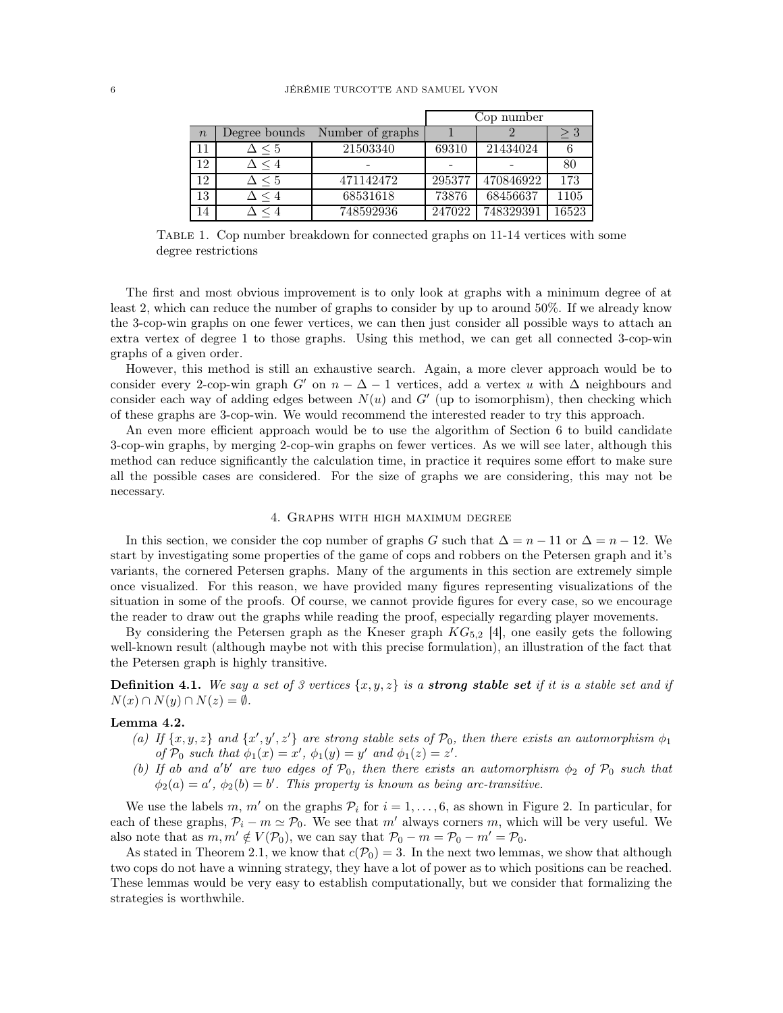<span id="page-5-0"></span>

|                  |               |                  | Cop number |           |       |  |
|------------------|---------------|------------------|------------|-----------|-------|--|
| $\boldsymbol{n}$ | Degree bounds | Number of graphs |            |           |       |  |
| 11               | $\sim 5$      | 21503340         | 69310      | 21434024  |       |  |
| 12               | $\leq 4$      |                  |            |           | 80    |  |
| 12               | $\leq 5$      | 471142472        | 295377     | 470846922 | 173   |  |
| 13               | $\leq 4$      | 68531618         | 73876      | 68456637  | 1105  |  |
| 14               |               | 748592936        | 247022     | 748329391 | 16523 |  |

Table 1. Cop number breakdown for connected graphs on 11-14 vertices with some degree restrictions

The first and most obvious improvement is to only look at graphs with a minimum degree of at least 2, which can reduce the number of graphs to consider by up to around 50%. If we already know the 3-cop-win graphs on one fewer vertices, we can then just consider all possible ways to attach an extra vertex of degree 1 to those graphs. Using this method, we can get all connected 3-cop-win graphs of a given order.

However, this method is still an exhaustive search. Again, a more clever approach would be to consider every 2-cop-win graph G' on  $n - \Delta - 1$  vertices, add a vertex u with  $\Delta$  neighbours and consider each way of adding edges between  $N(u)$  and  $G'$  (up to isomorphism), then checking which of these graphs are 3-cop-win. We would recommend the interested reader to try this approach.

An even more efficient approach would be to use the algorithm of Section [6](#page-16-0) to build candidate 3-cop-win graphs, by merging 2-cop-win graphs on fewer vertices. As we will see later, although this method can reduce significantly the calculation time, in practice it requires some effort to make sure all the possible cases are considered. For the size of graphs we are considering, this may not be necessary.

# 4. Graphs with high maximum degree

<span id="page-5-2"></span>In this section, we consider the cop number of graphs G such that  $\Delta = n - 11$  or  $\Delta = n - 12$ . We start by investigating some properties of the game of cops and robbers on the Petersen graph and it's variants, the cornered Petersen graphs. Many of the arguments in this section are extremely simple once visualized. For this reason, we have provided many figures representing visualizations of the situation in some of the proofs. Of course, we cannot provide figures for every case, so we encourage the reader to draw out the graphs while reading the proof, especially regarding player movements.

By considering the Petersen graph as the Kneser graph  $KG_{5,2}$  [\[4\]](#page-25-8), one easily gets the following well-known result (although maybe not with this precise formulation), an illustration of the fact that the Petersen graph is highly transitive.

**Definition 4.1.** We say a set of 3 vertices  $\{x, y, z\}$  is a **strong stable set** if it is a stable set and if  $N(x) \cap N(y) \cap N(z) = \emptyset$ .

# <span id="page-5-1"></span>Lemma 4.2.

- (a) If  $\{x, y, z\}$  and  $\{x', y', z'\}$  are strong stable sets of  $\mathcal{P}_0$ , then there exists an automorphism  $\phi_1$ *of*  $\mathcal{P}_0$  *such that*  $\phi_1(x) = x'$ ,  $\phi_1(y) = y'$  *and*  $\phi_1(z) = z'$ .
- (b) If ab and  $a'b'$  are two edges of  $\mathcal{P}_0$ , then there exists an automorphism  $\phi_2$  of  $\mathcal{P}_0$  such that  $\phi_2(a) = a', \ \phi_2(b) = b'.$  This property is known as being arc-transitive.

We use the labels m, m' on the graphs  $P_i$  for  $i = 1, \ldots, 6$ , as shown in Figure [2.](#page-4-0) In particular, for each of these graphs,  $P_i - m \simeq P_0$ . We see that m' always corners m, which will be very useful. We also note that as  $m, m' \notin V(\mathcal{P}_0)$ , we can say that  $\mathcal{P}_0 - m = \mathcal{P}_0 - m' = \mathcal{P}_0$ .

As stated in Theorem [2.1,](#page-2-1) we know that  $c(\mathcal{P}_0) = 3$ . In the next two lemmas, we show that although two cops do not have a winning strategy, they have a lot of power as to which positions can be reached. These lemmas would be very easy to establish computationally, but we consider that formalizing the strategies is worthwhile.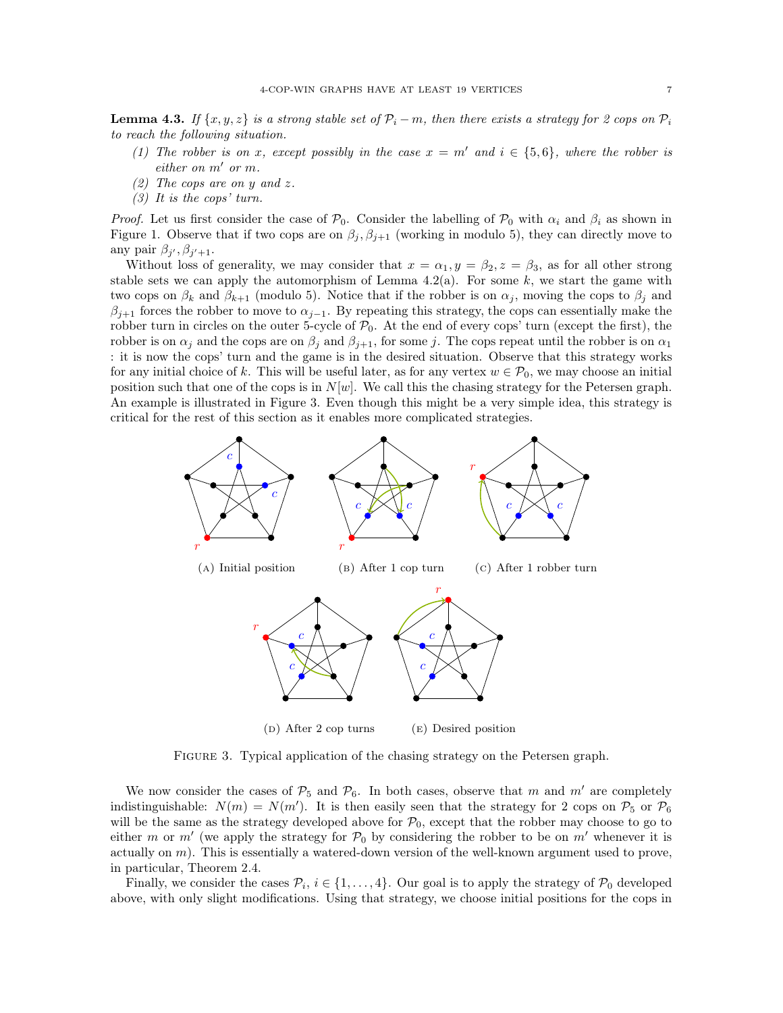<span id="page-6-1"></span>**Lemma 4.3.** *If*  $\{x, y, z\}$  *is a strong stable set of*  $\mathcal{P}_i - m$ *, then there exists a strategy for* 2 cops on  $\mathcal{P}_i$ *to reach the following situation.*

- *(1) The robber is on* x*, except possibly in the case*  $x = m'$  *and*  $i \in \{5, 6\}$ *, where the robber is either on* m′ *or* m*.*
- *(2) The cops are on* y *and* z*.*
- *(3) It is the cops' turn.*

*Proof.* Let us first consider the case of  $\mathcal{P}_0$ . Consider the labelling of  $\mathcal{P}_0$  with  $\alpha_i$  and  $\beta_i$  as shown in Figure [1.](#page-1-0) Observe that if two cops are on  $\beta_j$ ,  $\beta_{j+1}$  (working in modulo 5), they can directly move to any pair  $\beta_{j'}, \beta_{j'+1}$ .

Without loss of generality, we may consider that  $x = \alpha_1, y = \beta_2, z = \beta_3$ , as for all other strong stable sets we can apply the automorphism of Lemma  $4.2(a)$ . For some k, we start the game with two cops on  $\beta_k$  and  $\beta_{k+1}$  (modulo 5). Notice that if the robber is on  $\alpha_j$ , moving the cops to  $\beta_j$  and  $\beta_{j+1}$  forces the robber to move to  $\alpha_{j-1}$ . By repeating this strategy, the cops can essentially make the robber turn in circles on the outer 5-cycle of  $P_0$ . At the end of every cops' turn (except the first), the robber is on  $\alpha_j$  and the cops are on  $\beta_j$  and  $\beta_{j+1}$ , for some j. The cops repeat until the robber is on  $\alpha_1$ : it is now the cops' turn and the game is in the desired situation. Observe that this strategy works for any initial choice of k. This will be useful later, as for any vertex  $w \in \mathcal{P}_0$ , we may choose an initial position such that one of the cops is in  $N[w]$ . We call this the chasing strategy for the Petersen graph. An example is illustrated in Figure [3.](#page-6-0) Even though this might be a very simple idea, this strategy is critical for the rest of this section as it enables more complicated strategies.

<span id="page-6-0"></span>

Figure 3. Typical application of the chasing strategy on the Petersen graph.

We now consider the cases of  $P_5$  and  $P_6$ . In both cases, observe that m and m' are completely indistinguishable:  $N(m) = N(m')$ . It is then easily seen that the strategy for 2 cops on  $P_5$  or  $P_6$ will be the same as the strategy developed above for  $P_0$ , except that the robber may choose to go to either m or m' (we apply the strategy for  $P_0$  by considering the robber to be on m' whenever it is actually on  $m$ ). This is essentially a watered-down version of the well-known argument used to prove, in particular, Theorem [2.4.](#page-2-0)

Finally, we consider the cases  $\mathcal{P}_i$ ,  $i \in \{1, \ldots, 4\}$ . Our goal is to apply the strategy of  $\mathcal{P}_0$  developed above, with only slight modifications. Using that strategy, we choose initial positions for the cops in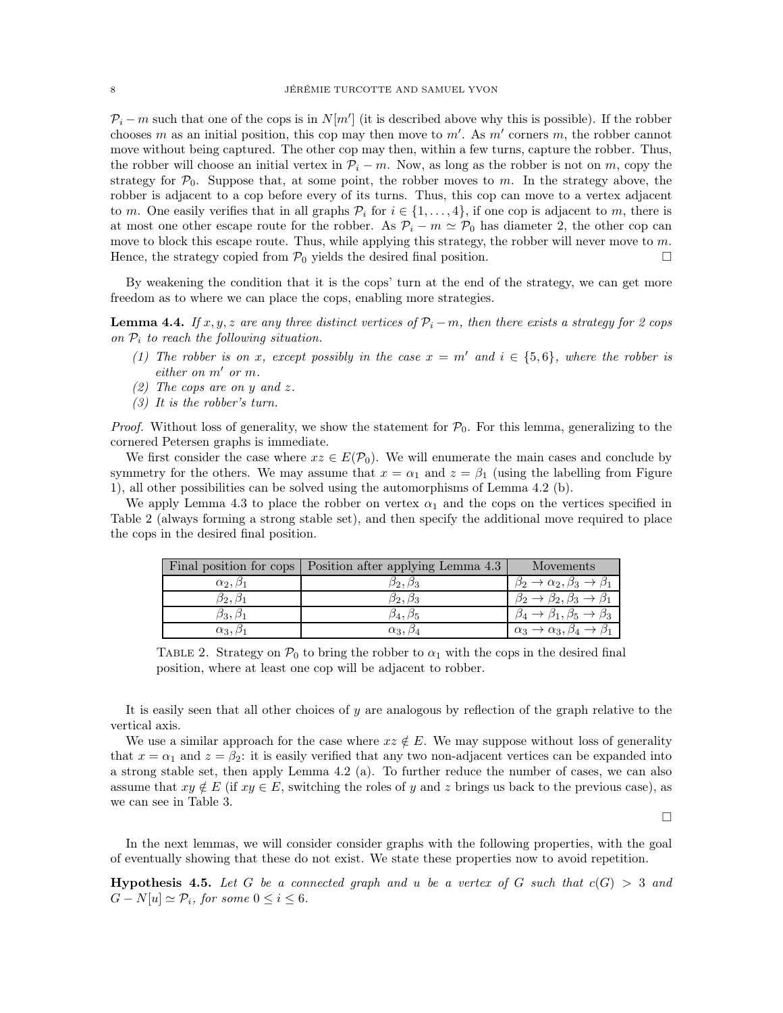$\mathcal{P}_i - m$  such that one of the cops is in  $N[m']$  (it is described above why this is possible). If the robber chooses m as an initial position, this cop may then move to  $m'$ . As  $m'$  corners m, the robber cannot move without being captured. The other cop may then, within a few turns, capture the robber. Thus, the robber will choose an initial vertex in  $\mathcal{P}_i - m$ . Now, as long as the robber is not on m, copy the strategy for  $\mathcal{P}_0$ . Suppose that, at some point, the robber moves to m. In the strategy above, the robber is adjacent to a cop before every of its turns. Thus, this cop can move to a vertex adjacent to m. One easily verifies that in all graphs  $\mathcal{P}_i$  for  $i \in \{1, \ldots, 4\}$ , if one cop is adjacent to m, there is at most one other escape route for the robber. As  $\mathcal{P}_i - m \simeq \mathcal{P}_0$  has diameter 2, the other cop can move to block this escape route. Thus, while applying this strategy, the robber will never move to  $m$ . Hence, the strategy copied from  $\mathcal{P}_0$  yields the desired final position.

By weakening the condition that it is the cops' turn at the end of the strategy, we can get more freedom as to where we can place the cops, enabling more strategies.

<span id="page-7-2"></span>**Lemma 4.4.** *If*  $x, y, z$  *are any three distinct vertices of*  $\mathcal{P}_i - m$ *, then there exists a strategy for* 2 *cops on* P<sup>i</sup> *to reach the following situation.*

- *(1) The robber is on x, except possibly in the case*  $x = m'$  *and*  $i \in \{5, 6\}$ *, where the robber is either on* m′ *or* m*.*
- *(2) The cops are on* y *and* z*.*
- *(3) It is the robber's turn.*

*Proof.* Without loss of generality, we show the statement for  $\mathcal{P}_0$ . For this lemma, generalizing to the cornered Petersen graphs is immediate.

We first consider the case where  $xz \in E(\mathcal{P}_0)$ . We will enumerate the main cases and conclude by symmetry for the others. We may assume that  $x = \alpha_1$  and  $z = \beta_1$  (using the labelling from Figure [1\)](#page-1-0), all other possibilities can be solved using the automorphisms of Lemma [4.2](#page-5-1) (b).

<span id="page-7-0"></span>We apply Lemma [4.3](#page-6-1) to place the robber on vertex  $\alpha_1$  and the cops on the vertices specified in Table [2](#page-7-0) (always forming a strong stable set), and then specify the additional move required to place the cops in the desired final position.

|                     | Final position for cops   Position after applying Lemma 4.3 | Movements                                                    |
|---------------------|-------------------------------------------------------------|--------------------------------------------------------------|
| $\alpha_2, \beta_1$ | 02. Q3                                                      | $\rightarrow \alpha_2, \beta_3 \rightarrow \beta_1$          |
| 02. O1              | D2, D3                                                      | $\rightarrow \beta_2, \beta_3$                               |
| 03. O1              | $\beta_4,\beta_5$                                           | $\beta_1, \beta_5 \rightarrow \beta_3$                       |
| $\alpha_3, \beta_1$ | $\alpha_3, \beta_4$                                         | $\alpha_3 \rightarrow \alpha_3, \beta_4 \rightarrow \beta_1$ |

TABLE 2. Strategy on  $\mathcal{P}_0$  to bring the robber to  $\alpha_1$  with the cops in the desired final position, where at least one cop will be adjacent to robber.

It is easily seen that all other choices of  $y$  are analogous by reflection of the graph relative to the vertical axis.

We use a similar approach for the case where  $xz \notin E$ . We may suppose without loss of generality that  $x = \alpha_1$  and  $z = \beta_2$ : it is easily verified that any two non-adjacent vertices can be expanded into a strong stable set, then apply Lemma [4.2](#page-5-1) (a). To further reduce the number of cases, we can also assume that  $xy \notin E$  (if  $xy \in E$ , switching the roles of y and z brings us back to the previous case), as we can see in Table [3.](#page-8-0)

 $\Box$ 

In the next lemmas, we will consider consider graphs with the following properties, with the goal of eventually showing that these do not exist. We state these properties now to avoid repetition.

<span id="page-7-1"></span>**Hypothesis 4.5.** Let G be a connected graph and u be a vertex of G such that  $c(G) > 3$  and  $G - N[u] \simeq \mathcal{P}_i$ , for some  $0 \leq i \leq 6$ .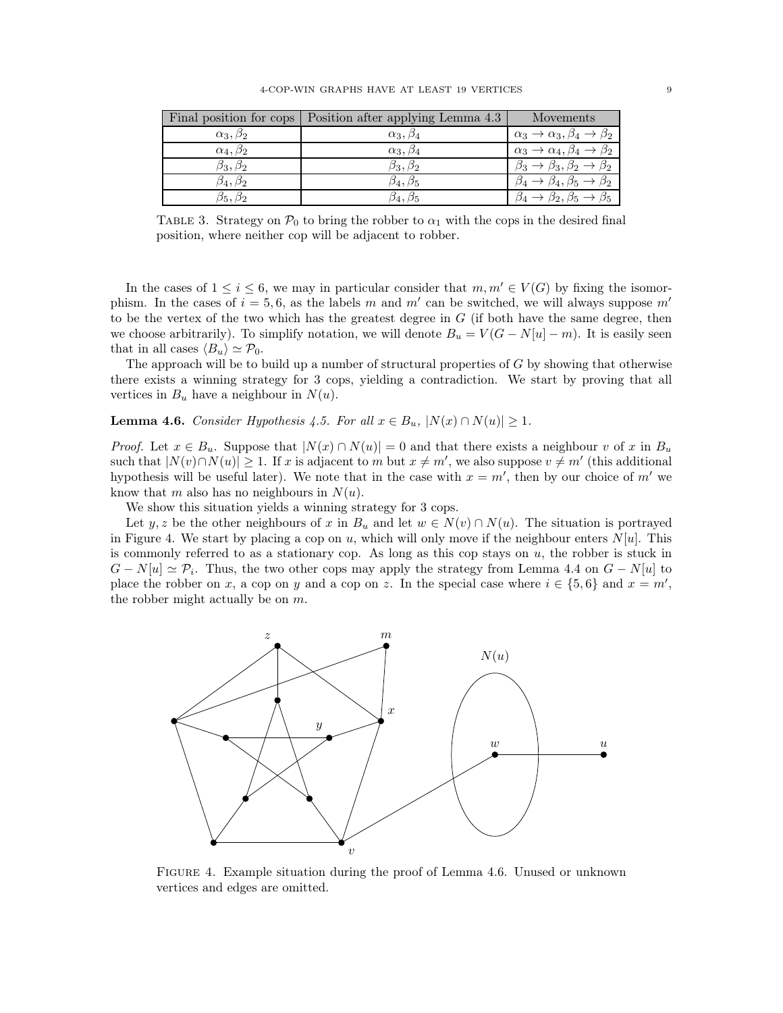<span id="page-8-0"></span>

|                     | Final position for cops   Position after applying Lemma 4.3 | Movements                                                    |
|---------------------|-------------------------------------------------------------|--------------------------------------------------------------|
| $\alpha_3, \beta_2$ | $\alpha_3,\beta_4$                                          | $\alpha_3 \rightarrow \alpha_3, \beta_4 \rightarrow \beta_2$ |
| $\alpha_4,\beta_2$  | $\alpha_3, \beta_4$                                         | $\alpha_3 \rightarrow \alpha_4, \beta_4 \rightarrow \beta_2$ |
| $\beta_3,\beta_2$   | $\beta_3,\beta_2$                                           | $\rightarrow \beta_3, \beta_2$<br>$\rightarrow \beta_2$      |
| $\beta_4,\beta_2$   | $\beta_4,\beta_5$                                           | $\rightarrow \beta_4, \beta_5$ -                             |
| $\beta_5, \beta_2$  | $\beta_4,\beta_5$                                           | $\beta_2, \beta_5 \rightarrow \beta_5$                       |

TABLE 3. Strategy on  $\mathcal{P}_0$  to bring the robber to  $\alpha_1$  with the cops in the desired final position, where neither cop will be adjacent to robber.

In the cases of  $1 \leq i \leq 6$ , we may in particular consider that  $m, m' \in V(G)$  by fixing the isomorphism. In the cases of  $i = 5, 6$ , as the labels m and m' can be switched, we will always suppose m' to be the vertex of the two which has the greatest degree in  $G$  (if both have the same degree, then we choose arbitrarily). To simplify notation, we will denote  $B_u = V(G - N[u] - m)$ . It is easily seen that in all cases  $\langle B_u \rangle \simeq \mathcal{P}_0$ .

The approach will be to build up a number of structural properties of  $G$  by showing that otherwise there exists a winning strategy for 3 cops, yielding a contradiction. We start by proving that all vertices in  $B_u$  have a neighbour in  $N(u)$ .

<span id="page-8-2"></span>**Lemma 4.6.** *Consider Hypothesis* [4.5.](#page-7-1) *For all*  $x \in B_u$ ,  $|N(x) \cap N(u)| \ge 1$ *.* 

*Proof.* Let  $x \in B_u$ . Suppose that  $|N(x) \cap N(u)| = 0$  and that there exists a neighbour v of x in  $B_u$ such that  $|N(v) \cap N(u)| \geq 1$ . If x is adjacent to m but  $x \neq m'$ , we also suppose  $v \neq m'$  (this additional hypothesis will be useful later). We note that in the case with  $x = m'$ , then by our choice of m' we know that m also has no neighbours in  $N(u)$ .

We show this situation yields a winning strategy for 3 cops.

Let y, z be the other neighbours of x in  $B_u$  and let  $w \in N(v) \cap N(u)$ . The situation is portrayed in Figure [4.](#page-8-1) We start by placing a cop on u, which will only move if the neighbour enters  $N[u]$ . This is commonly referred to as a stationary cop. As long as this cop stays on  $u$ , the robber is stuck in  $G - N[u] \simeq \mathcal{P}_i$ . Thus, the two other cops may apply the strategy from Lemma [4.4](#page-7-2) on  $G - N[u]$  to place the robber on x, a cop on y and a cop on z. In the special case where  $i \in \{5,6\}$  and  $x = m'$ , the robber might actually be on  $m$ .

<span id="page-8-1"></span>

Figure 4. Example situation during the proof of Lemma [4.6.](#page-8-2) Unused or unknown vertices and edges are omitted.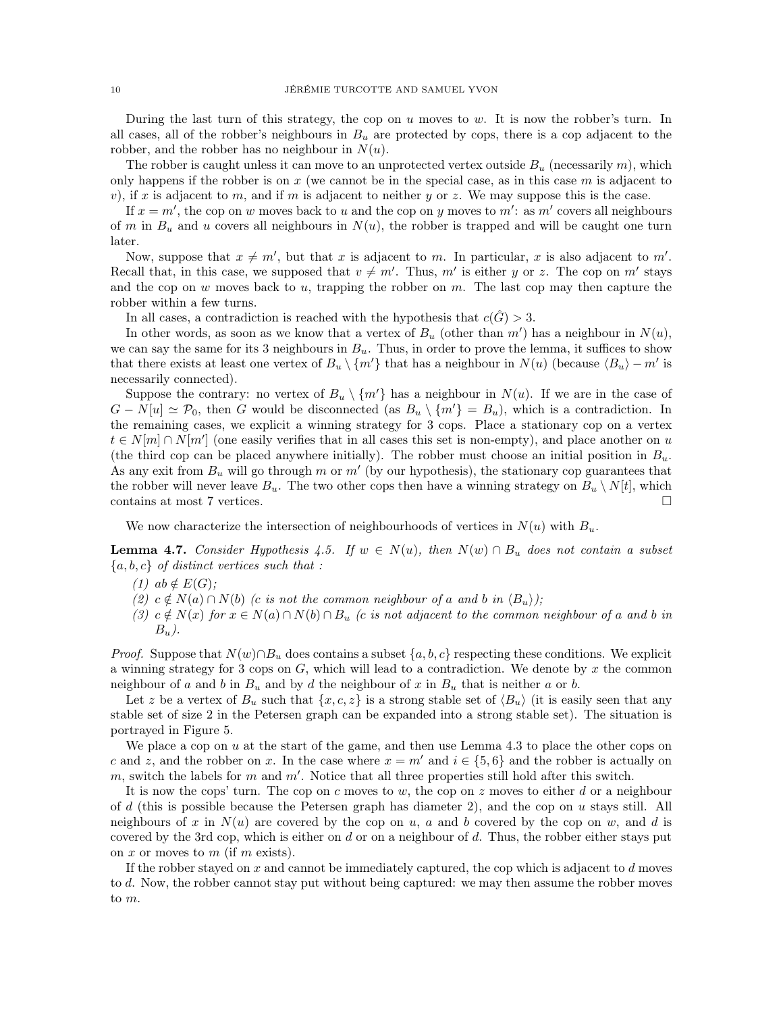During the last turn of this strategy, the cop on  $u$  moves to  $w$ . It is now the robber's turn. In all cases, all of the robber's neighbours in  $B_u$  are protected by cops, there is a cop adjacent to the robber, and the robber has no neighbour in  $N(u)$ .

The robber is caught unless it can move to an unprotected vertex outside  $B_u$  (necessarily m), which only happens if the robber is on  $x$  (we cannot be in the special case, as in this case  $m$  is adjacent to v), if x is adjacent to m, and if m is adjacent to neither y or z. We may suppose this is the case.

If  $x = m'$ , the cop on w moves back to u and the cop on y moves to m': as m' covers all neighbours of m in  $B_u$  and u covers all neighbours in  $N(u)$ , the robber is trapped and will be caught one turn later.

Now, suppose that  $x \neq m'$ , but that x is adjacent to m. In particular, x is also adjacent to m'. Recall that, in this case, we supposed that  $v \neq m'$ . Thus, m' is either y or z. The cop on m' stays and the cop on  $w$  moves back to  $u$ , trapping the robber on  $m$ . The last cop may then capture the robber within a few turns.

In all cases, a contradiction is reached with the hypothesis that  $c(\hat{G}) > 3$ .

In other words, as soon as we know that a vertex of  $B<sub>u</sub>$  (other than m') has a neighbour in  $N(u)$ , we can say the same for its 3 neighbours in  $B_u$ . Thus, in order to prove the lemma, it suffices to show that there exists at least one vertex of  $B_u \setminus \{m'\}$  that has a neighbour in  $N(u)$  (because  $\langle B_u \rangle - m'$  is necessarily connected).

Suppose the contrary: no vertex of  $B_u \setminus \{m'\}$  has a neighbour in  $N(u)$ . If we are in the case of  $G - N[u] \simeq \mathcal{P}_0$ , then G would be disconnected (as  $B_u \setminus \{m'\} = B_u$ ), which is a contradiction. In the remaining cases, we explicit a winning strategy for 3 cops. Place a stationary cop on a vertex  $t \in N[m] \cap N[m']$  (one easily verifies that in all cases this set is non-empty), and place another on u (the third cop can be placed anywhere initially). The robber must choose an initial position in  $B_u$ . As any exit from  $B_u$  will go through m or m' (by our hypothesis), the stationary cop guarantees that the robber will never leave  $B_u$ . The two other cops then have a winning strategy on  $B_u \setminus N[t]$ , which contains at most 7 vertices.

We now characterize the intersection of neighbourhoods of vertices in  $N(u)$  with  $B_u$ .

<span id="page-9-0"></span>**Lemma 4.7.** *Consider Hypothesis* [4.5.](#page-7-1) *If*  $w \in N(u)$ , then  $N(w) \cap B_u$  *does not contain a subset* {a, b, c} *of distinct vertices such that :*

 $(1)$  ab  $\notin E(G)$ ;

- $(2)$   $c \notin N(a) \cap N(b)$  *(c is not the common neighbour of a and b in*  $\langle B_u \rangle$ );
- $(3)$   $c \notin N(x)$  *for*  $x \in N(a) \cap N(b) \cap B_u$  *(c is not adjacent to the common neighbour of a and b in* Bu*).*

*Proof.* Suppose that  $N(w) \cap B_u$  does contains a subset  $\{a, b, c\}$  respecting these conditions. We explicit a winning strategy for 3 cops on  $G$ , which will lead to a contradiction. We denote by  $x$  the common neighbour of a and b in  $B_u$  and by d the neighbour of x in  $B_u$  that is neither a or b.

Let z be a vertex of  $B_u$  such that  $\{x, c, z\}$  is a strong stable set of  $\langle B_u \rangle$  (it is easily seen that any stable set of size 2 in the Petersen graph can be expanded into a strong stable set). The situation is portrayed in Figure [5.](#page-10-0)

We place a cop on  $u$  at the start of the game, and then use Lemma [4.3](#page-6-1) to place the other cops on c and z, and the robber on x. In the case where  $x = m'$  and  $i \in \{5, 6\}$  and the robber is actually on  $m$ , switch the labels for  $m$  and  $m'$ . Notice that all three properties still hold after this switch.

It is now the cops' turn. The cop on c moves to w, the cop on z moves to either d or a neighbour of d (this is possible because the Petersen graph has diameter 2), and the cop on u stays still. All neighbours of x in  $N(u)$  are covered by the cop on u, a and b covered by the cop on w, and d is covered by the 3rd cop, which is either on d or on a neighbour of d. Thus, the robber either stays put on x or moves to m (if m exists).

If the robber stayed on x and cannot be immediately captured, the cop which is adjacent to  $d$  moves to d. Now, the robber cannot stay put without being captured: we may then assume the robber moves to m.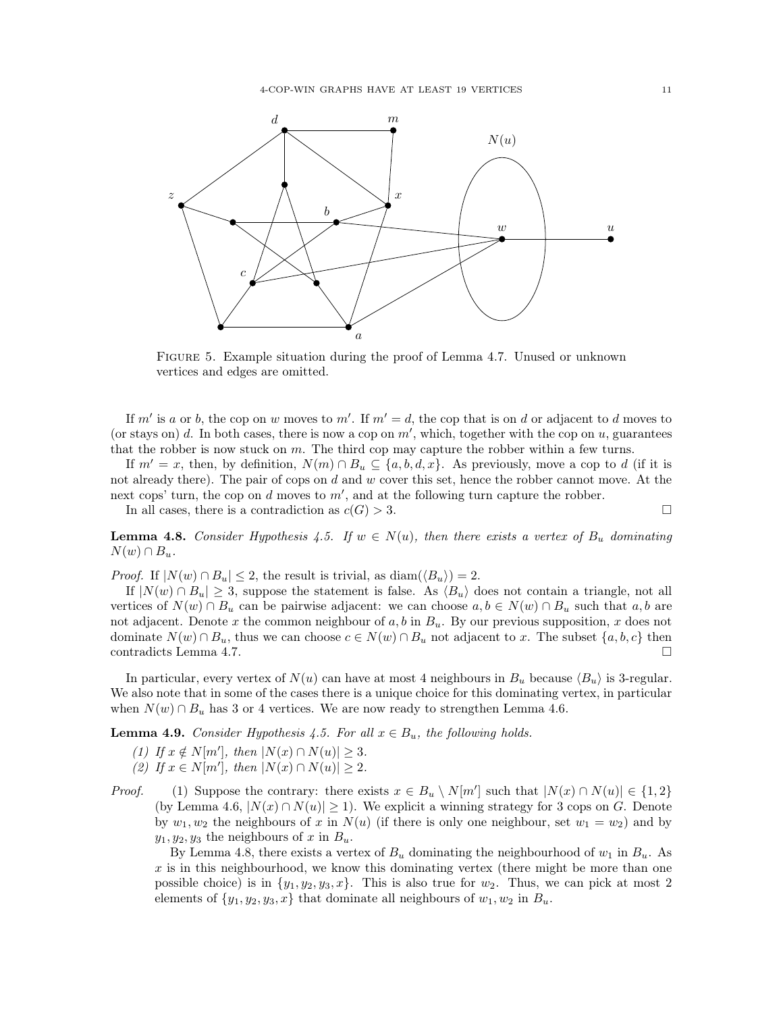<span id="page-10-0"></span>

Figure 5. Example situation during the proof of Lemma [4.7.](#page-9-0) Unused or unknown vertices and edges are omitted.

If m' is a or b, the cop on w moves to m'. If  $m' = d$ , the cop that is on d or adjacent to d moves to (or stays on)  $d$ . In both cases, there is now a cop on  $m'$ , which, together with the cop on  $u$ , guarantees that the robber is now stuck on m. The third cop may capture the robber within a few turns.

If  $m' = x$ , then, by definition,  $N(m) \cap B_u \subseteq \{a, b, d, x\}$ . As previously, move a cop to d (if it is not already there). The pair of cops on  $d$  and  $w$  cover this set, hence the robber cannot move. At the next cops' turn, the cop on  $d$  moves to  $m'$ , and at the following turn capture the robber.

In all cases, there is a contradiction as  $c(G) > 3$ .

<span id="page-10-1"></span>**Lemma 4.8.** Consider Hypothesis [4.5.](#page-7-1) If  $w \in N(u)$ , then there exists a vertex of  $B_u$  dominating  $N(w) \cap B_u$ .

*Proof.* If  $|N(w) \cap B_u| \leq 2$ , the result is trivial, as  $\text{diam}(\langle B_u \rangle) = 2$ .

If  $|N(w) \cap B_u| \geq 3$ , suppose the statement is false. As  $\langle B_u \rangle$  does not contain a triangle, not all vertices of  $N(w) \cap B_u$  can be pairwise adjacent: we can choose  $a, b \in N(w) \cap B_u$  such that  $a, b$  are not adjacent. Denote x the common neighbour of a, b in  $B_u$ . By our previous supposition, x does not dominate  $N(w) \cap B_u$ , thus we can choose  $c \in N(w) \cap B_u$  not adjacent to x. The subset  $\{a, b, c\}$  then contradicts Lemma [4.7.](#page-9-0)

In particular, every vertex of  $N(u)$  can have at most 4 neighbours in  $B_u$  because  $\langle B_u \rangle$  is 3-regular. We also note that in some of the cases there is a unique choice for this dominating vertex, in particular when  $N(w) \cap B_u$  has 3 or 4 vertices. We are now ready to strengthen Lemma [4.6.](#page-8-2)

<span id="page-10-2"></span>**Lemma 4.9.** *Consider Hypothesis* [4.5.](#page-7-1) *For all*  $x \in B_u$ , *the following holds.* 

- *(1) If*  $x \notin N[m']$ *, then*  $|N(x) \cap N(u)| \ge 3$ *. (2) If*  $x \in N[m']$ *, then*  $|N(x) \cap N(u)| \ge 2$ *.*
- *Proof.* (1) Suppose the contrary: there exists  $x \in B_u \setminus N[m']$  such that  $|N(x) \cap N(u)| \in \{1,2\}$ (by Lemma [4.6,](#page-8-2)  $|N(x) \cap N(u)| \ge 1$ ). We explicit a winning strategy for 3 cops on G. Denote by  $w_1, w_2$  the neighbours of x in  $N(u)$  (if there is only one neighbour, set  $w_1 = w_2$ ) and by  $y_1, y_2, y_3$  the neighbours of x in  $B_u$ .

By Lemma [4.8,](#page-10-1) there exists a vertex of  $B_u$  dominating the neighbourhood of  $w_1$  in  $B_u$ . As  $x$  is in this neighbourhood, we know this dominating vertex (there might be more than one possible choice) is in  $\{y_1, y_2, y_3, x\}$ . This is also true for  $w_2$ . Thus, we can pick at most 2 elements of  $\{y_1, y_2, y_3, x\}$  that dominate all neighbours of  $w_1, w_2$  in  $B_u$ .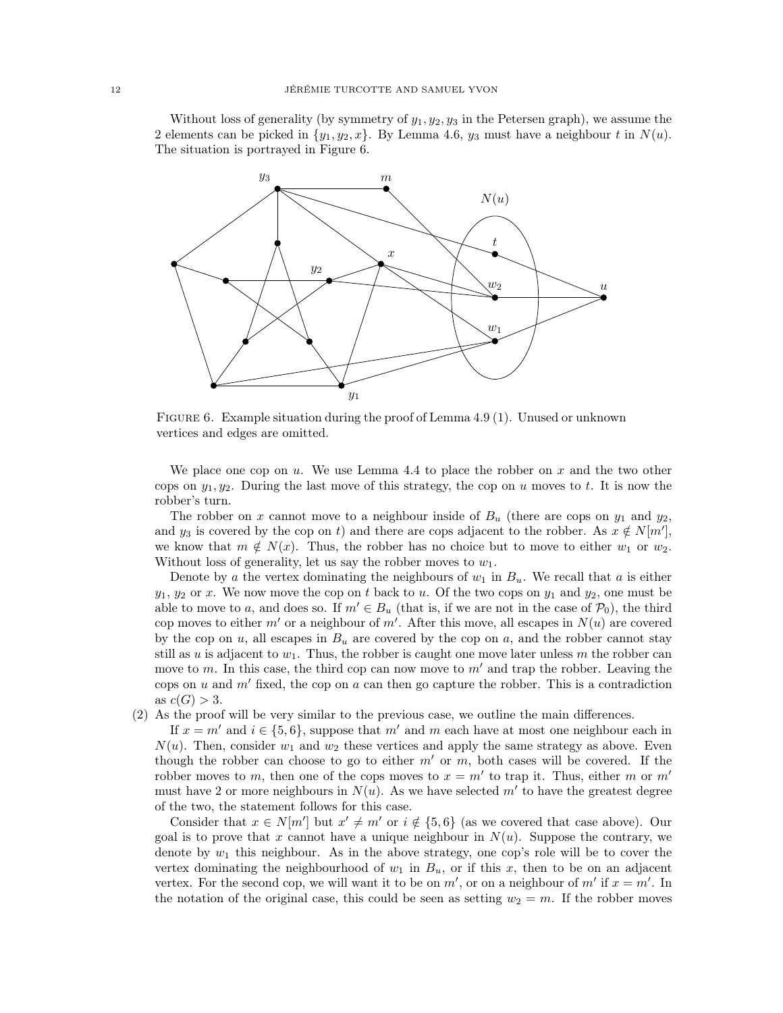Without loss of generality (by symmetry of  $y_1, y_2, y_3$  in the Petersen graph), we assume the 2 elements can be picked in  $\{y_1, y_2, x\}$ . By Lemma [4.6,](#page-8-2)  $y_3$  must have a neighbour t in  $N(u)$ . The situation is portrayed in Figure [6.](#page-11-0)

<span id="page-11-0"></span>

Figure 6. Example situation during the proof of Lemma [4.9](#page-10-2) (1). Unused or unknown vertices and edges are omitted.

We place one cop on  $u$ . We use Lemma [4.4](#page-7-2) to place the robber on  $x$  and the two other cops on  $y_1, y_2$ . During the last move of this strategy, the cop on u moves to t. It is now the robber's turn.

The robber on x cannot move to a neighbour inside of  $B_u$  (there are cops on  $y_1$  and  $y_2$ , and  $y_3$  is covered by the cop on t) and there are cops adjacent to the robber. As  $x \notin N[m']$ , we know that  $m \notin N(x)$ . Thus, the robber has no choice but to move to either  $w_1$  or  $w_2$ . Without loss of generality, let us say the robber moves to  $w_1$ .

Denote by a the vertex dominating the neighbours of  $w_1$  in  $B_u$ . We recall that a is either  $y_1, y_2$  or x. We now move the cop on t back to u. Of the two cops on  $y_1$  and  $y_2$ , one must be able to move to a, and does so. If  $m' \in B_u$  (that is, if we are not in the case of  $\mathcal{P}_0$ ), the third cop moves to either  $m'$  or a neighbour of  $m'$ . After this move, all escapes in  $N(u)$  are covered by the cop on  $u$ , all escapes in  $B_u$  are covered by the cop on  $a$ , and the robber cannot stay still as u is adjacent to  $w_1$ . Thus, the robber is caught one move later unless m the robber can move to m. In this case, the third cop can now move to  $m'$  and trap the robber. Leaving the cops on u and  $m'$  fixed, the cop on a can then go capture the robber. This is a contradiction as  $c(G) > 3$ .

(2) As the proof will be very similar to the previous case, we outline the main differences.

If  $x = m'$  and  $i \in \{5, 6\}$ , suppose that m' and m each have at most one neighbour each in  $N(u)$ . Then, consider  $w_1$  and  $w_2$  these vertices and apply the same strategy as above. Even though the robber can choose to go to either  $m'$  or  $m$ , both cases will be covered. If the robber moves to m, then one of the cops moves to  $x = m'$  to trap it. Thus, either m or m' must have 2 or more neighbours in  $N(u)$ . As we have selected  $m'$  to have the greatest degree of the two, the statement follows for this case.

Consider that  $x \in N[m']$  but  $x' \neq m'$  or  $i \notin \{5, 6\}$  (as we covered that case above). Our goal is to prove that x cannot have a unique neighbour in  $N(u)$ . Suppose the contrary, we denote by  $w_1$  this neighbour. As in the above strategy, one cop's role will be to cover the vertex dominating the neighbourhood of  $w_1$  in  $B_u$ , or if this x, then to be on an adjacent vertex. For the second cop, we will want it to be on  $m'$ , or on a neighbour of  $m'$  if  $x = m'$ . In the notation of the original case, this could be seen as setting  $w_2 = m$ . If the robber moves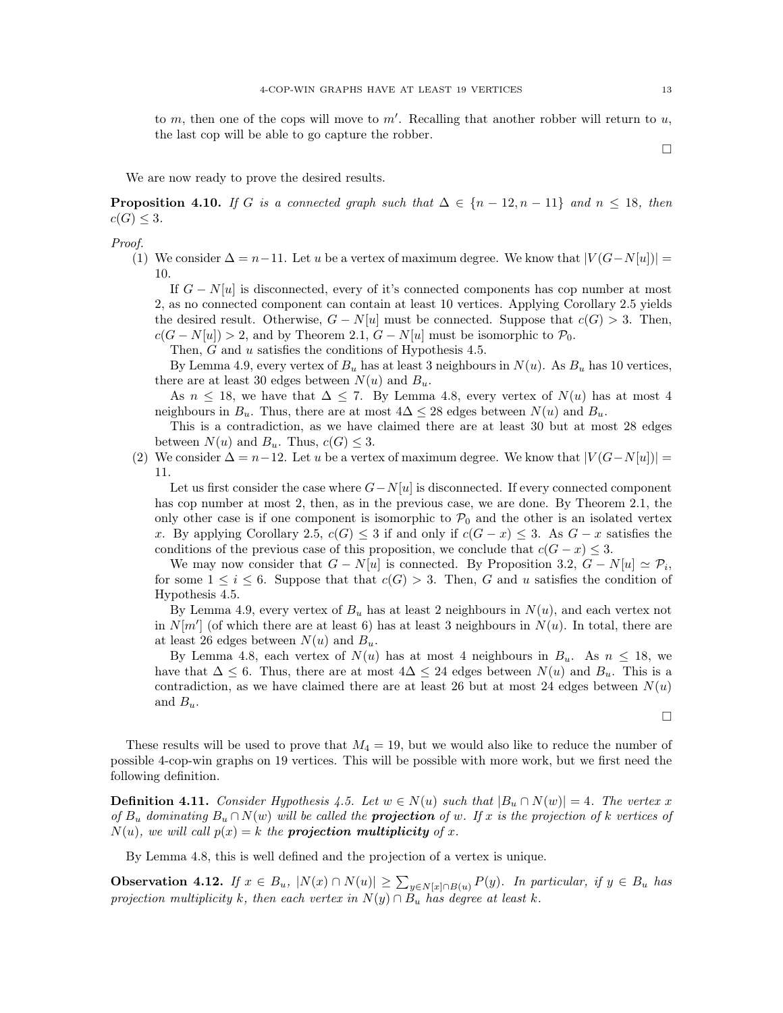to m, then one of the cops will move to  $m'$ . Recalling that another robber will return to  $u$ , the last cop will be able to go capture the robber.

 $\Box$ 

We are now ready to prove the desired results.

<span id="page-12-0"></span>**Proposition 4.10.** *If* G *is a connected graph such that*  $\Delta \in \{n-12, n-11\}$  *and*  $n \leq 18$ *, then*  $c(G) \leq 3$ .

*Proof.*

(1) We consider  $\Delta = n-11$ . Let u be a vertex of maximum degree. We know that  $|V(G-N[u])|$  = 10.

If  $G - N[u]$  is disconnected, every of it's connected components has cop number at most 2, as no connected component can contain at least 10 vertices. Applying Corollary [2.5](#page-2-2) yields the desired result. Otherwise,  $G - N[u]$  must be connected. Suppose that  $c(G) > 3$ . Then,  $c(G - N[u]) > 2$ , and by Theorem [2.1,](#page-2-1)  $G - N[u]$  must be isomorphic to  $\mathcal{P}_0$ .

Then, G and u satisfies the conditions of Hypothesis [4.5.](#page-7-1)

By Lemma [4.9,](#page-10-2) every vertex of  $B_u$  has at least 3 neighbours in  $N(u)$ . As  $B_u$  has 10 vertices, there are at least 30 edges between  $N(u)$  and  $B_u$ .

As  $n \leq 18$ , we have that  $\Delta \leq 7$ . By Lemma [4.8,](#page-10-1) every vertex of  $N(u)$  has at most 4 neighbours in  $B_u$ . Thus, there are at most  $4\Delta \leq 28$  edges between  $N(u)$  and  $B_u$ .

This is a contradiction, as we have claimed there are at least 30 but at most 28 edges between  $N(u)$  and  $B_u$ . Thus,  $c(G) \leq 3$ .

(2) We consider  $\Delta = n-12$ . Let u be a vertex of maximum degree. We know that  $|V(G-N[u])|$  = 11.

Let us first consider the case where  $G-N[u]$  is disconnected. If every connected component has cop number at most 2, then, as in the previous case, we are done. By Theorem [2.1,](#page-2-1) the only other case is if one component is isomorphic to  $\mathcal{P}_0$  and the other is an isolated vertex x. By applying Corollary [2.5,](#page-2-2)  $c(G) \leq 3$  if and only if  $c(G - x) \leq 3$ . As  $G - x$  satisfies the conditions of the previous case of this proposition, we conclude that  $c(G - x) \leq 3$ .

We may now consider that  $G - N[u]$  is connected. By Proposition [3.2,](#page-3-2)  $G - N[u] \simeq \mathcal{P}_i$ , for some  $1 \leq i \leq 6$ . Suppose that that  $c(G) > 3$ . Then, G and u satisfies the condition of Hypothesis [4.5.](#page-7-1)

By Lemma [4.9,](#page-10-2) every vertex of  $B_u$  has at least 2 neighbours in  $N(u)$ , and each vertex not in  $N[m']$  (of which there are at least 6) has at least 3 neighbours in  $N(u)$ . In total, there are at least 26 edges between  $N(u)$  and  $B_u$ .

By Lemma [4.8,](#page-10-1) each vertex of  $N(u)$  has at most 4 neighbours in  $B_u$ . As  $n \leq 18$ , we have that  $\Delta \leq 6$ . Thus, there are at most  $4\Delta \leq 24$  edges between  $N(u)$  and  $B_u$ . This is a contradiction, as we have claimed there are at least 26 but at most 24 edges between  $N(u)$ and  $B_u$ .

 $\Box$ 

These results will be used to prove that  $M_4 = 19$ , but we would also like to reduce the number of possible 4-cop-win graphs on 19 vertices. This will be possible with more work, but we first need the following definition.

**Definition 4.11.** *Consider Hypothesis* [4.5.](#page-7-1) *Let*  $w \in N(u)$  *such that*  $|B_u \cap N(w)| = 4$ *. The vertex* x *of*  $B_u$  *dominating*  $B_u \cap N(w)$  *will be called the projection of w. If* x *is the projection of* k *vertices of*  $N(u)$ *, we will call*  $p(x) = k$  *the projection multiplicity of* x.

By Lemma [4.8,](#page-10-1) this is well defined and the projection of a vertex is unique.

<span id="page-12-1"></span>Observation 4.12. *If*  $x \in B_u$ ,  $|N(x) \cap N(u)| \ge \sum_{y \in N[x] \cap B(u)} P(y)$ . *In particular, if*  $y \in B_u$  *has projection multiplicity* k, then each vertex in  $N(y) \cap B_u$  has degree at least k.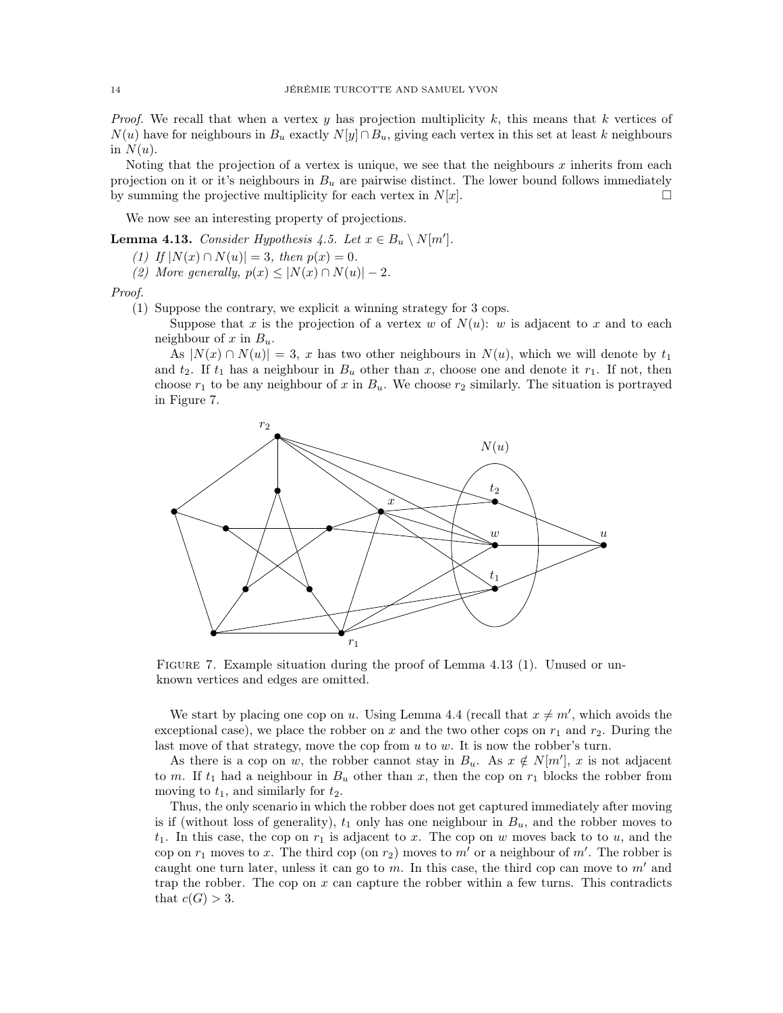*Proof.* We recall that when a vertex y has projection multiplicity  $k$ , this means that  $k$  vertices of  $N(u)$  have for neighbours in  $B_u$  exactly  $N[y] \cap B_u$ , giving each vertex in this set at least k neighbours in  $N(u)$ .

Noting that the projection of a vertex is unique, we see that the neighbours x inherits from each projection on it or it's neighbours in  $B_u$  are pairwise distinct. The lower bound follows immediately by summing the projective multiplicity for each vertex in  $N[x]$ .

We now see an interesting property of projections.

<span id="page-13-1"></span>**Lemma 4.13.** *Consider Hypothesis* [4.5.](#page-7-1) *Let*  $x \in B_u \setminus N[m']$ .

*(1) If*  $|N(x) \cap N(u)| = 3$ *, then*  $p(x) = 0$ *.* 

*(2)* More generally,  $p(x) \leq |N(x) \cap N(u)| - 2$ .

*Proof.*

(1) Suppose the contrary, we explicit a winning strategy for 3 cops.

Suppose that x is the projection of a vertex w of  $N(u)$ : w is adjacent to x and to each neighbour of x in  $B_u$ .

As  $|N(x) \cap N(u)| = 3$ , x has two other neighbours in  $N(u)$ , which we will denote by  $t_1$ and  $t_2$ . If  $t_1$  has a neighbour in  $B_u$  other than x, choose one and denote it  $r_1$ . If not, then choose  $r_1$  to be any neighbour of x in  $B_u$ . We choose  $r_2$  similarly. The situation is portrayed in Figure [7.](#page-13-0)

<span id="page-13-0"></span>

FIGURE 7. Example situation during the proof of Lemma [4.13](#page-13-1) (1). Unused or unknown vertices and edges are omitted.

We start by placing one cop on u. Using Lemma [4.4](#page-7-2) (recall that  $x \neq m'$ , which avoids the exceptional case), we place the robber on x and the two other cops on  $r_1$  and  $r_2$ . During the last move of that strategy, move the cop from u to w. It is now the robber's turn.

As there is a cop on w, the robber cannot stay in  $B_u$ . As  $x \notin N[m']$ , x is not adjacent to m. If  $t_1$  had a neighbour in  $B_u$  other than x, then the cop on  $r_1$  blocks the robber from moving to  $t_1$ , and similarly for  $t_2$ .

Thus, the only scenario in which the robber does not get captured immediately after moving is if (without loss of generality),  $t_1$  only has one neighbour in  $B_u$ , and the robber moves to  $t_1$ . In this case, the cop on  $r_1$  is adjacent to x. The cop on w moves back to to u, and the cop on  $r_1$  moves to x. The third cop (on  $r_2$ ) moves to m' or a neighbour of m'. The robber is caught one turn later, unless it can go to m. In this case, the third cop can move to  $m'$  and trap the robber. The cop on  $x$  can capture the robber within a few turns. This contradicts that  $c(G) > 3$ .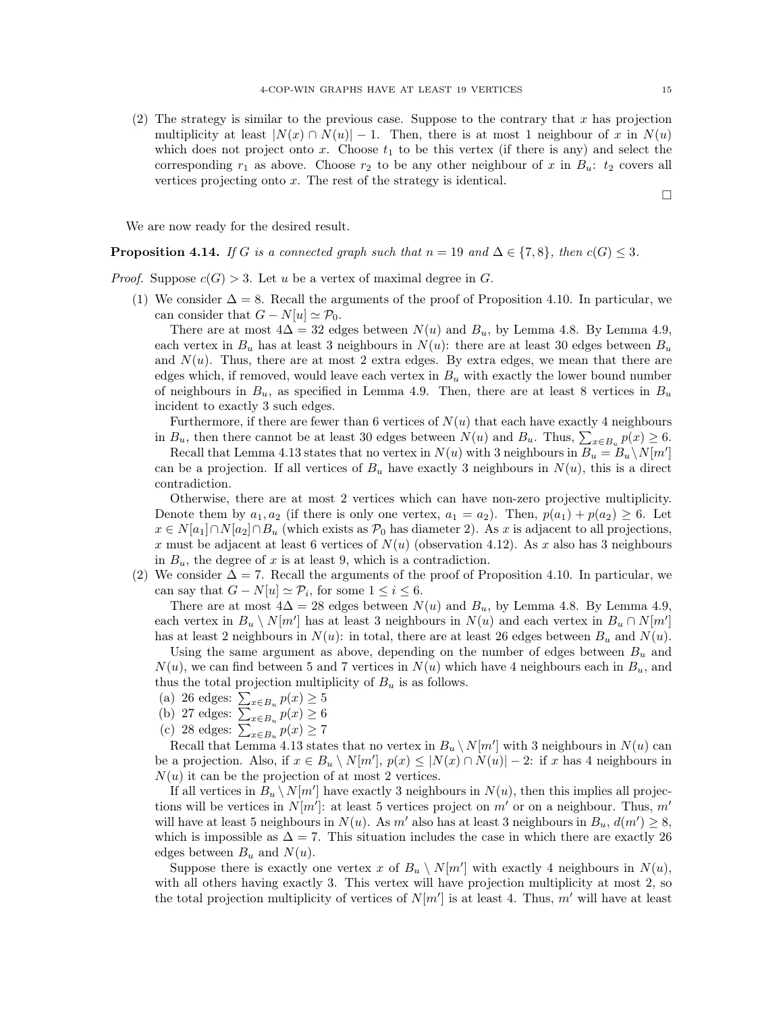(2) The strategy is similar to the previous case. Suppose to the contrary that x has projection multiplicity at least  $|N(x) \cap N(u)| - 1$ . Then, there is at most 1 neighbour of x in  $N(u)$ which does not project onto x. Choose  $t_1$  to be this vertex (if there is any) and select the corresponding  $r_1$  as above. Choose  $r_2$  to be any other neighbour of x in  $B_u$ :  $t_2$  covers all vertices projecting onto  $x$ . The rest of the strategy is identical.

We are now ready for the desired result.

<span id="page-14-0"></span>**Proposition 4.14.** *If* G *is a connected graph such that*  $n = 19$  *and*  $\Delta \in \{7, 8\}$ *, then*  $c(G) \leq 3$ *.* 

*Proof.* Suppose  $c(G) > 3$ . Let u be a vertex of maximal degree in G.

(1) We consider  $\Delta = 8$ . Recall the arguments of the proof of Proposition [4.10.](#page-12-0) In particular, we can consider that  $G - N[u] \simeq \mathcal{P}_0$ .

There are at most  $4\Delta = 32$  edges between  $N(u)$  and  $B_u$ , by Lemma [4.8.](#page-10-1) By Lemma [4.9,](#page-10-2) each vertex in  $B_u$  has at least 3 neighbours in  $N(u)$ : there are at least 30 edges between  $B_u$ and  $N(u)$ . Thus, there are at most 2 extra edges. By extra edges, we mean that there are edges which, if removed, would leave each vertex in  $B<sub>u</sub>$  with exactly the lower bound number of neighbours in  $B_u$ , as specified in Lemma [4.9.](#page-10-2) Then, there are at least 8 vertices in  $B_u$ incident to exactly 3 such edges.

Furthermore, if there are fewer than 6 vertices of  $N(u)$  that each have exactly 4 neighbours in  $B_u$ , then there cannot be at least 30 edges between  $N(u)$  and  $B_u$ . Thus,  $\sum_{x \in B_u} p(x) \ge 6$ .

Recall that Lemma [4.13](#page-13-1) states that no vertex in  $N(u)$  with 3 neighbours in  $B_u = B_u \setminus N[m']$ can be a projection. If all vertices of  $B_u$  have exactly 3 neighbours in  $N(u)$ , this is a direct contradiction.

Otherwise, there are at most 2 vertices which can have non-zero projective multiplicity. Denote them by  $a_1, a_2$  (if there is only one vertex,  $a_1 = a_2$ ). Then,  $p(a_1) + p(a_2) \ge 6$ . Let  $x \in N[a_1] \cap N[a_2] \cap B_u$  (which exists as  $\mathcal{P}_0$  has diameter 2). As x is adjacent to all projections, x must be adjacent at least 6 vertices of  $N(u)$  (observation [4.12\)](#page-12-1). As x also has 3 neighbours in  $B_u$ , the degree of x is at least 9, which is a contradiction.

(2) We consider  $\Delta = 7$ . Recall the arguments of the proof of Proposition [4.10.](#page-12-0) In particular, we can say that  $G - N[u] \simeq \mathcal{P}_i$ , for some  $1 \leq i \leq 6$ .

There are at most  $4\Delta = 28$  edges between  $N(u)$  and  $B_u$ , by Lemma [4.8.](#page-10-1) By Lemma [4.9,](#page-10-2) each vertex in  $B_u \setminus N[m']$  has at least 3 neighbours in  $N(u)$  and each vertex in  $B_u \cap N[m']$ has at least 2 neighbours in  $N(u)$ : in total, there are at least 26 edges between  $B_u$  and  $N(u)$ .

Using the same argument as above, depending on the number of edges between  $B_u$  and  $N(u)$ , we can find between 5 and 7 vertices in  $N(u)$  which have 4 neighbours each in  $B_u$ , and thus the total projection multiplicity of  $B_u$  is as follows.

- (a) 26 edges:  $\sum_{x \in B_u} p(x) \ge 5$
- (b) 27 edges:  $\sum_{x \in B_u} p(x) \ge 6$
- (c) 28 edges:  $\sum_{x \in B_u} p(x) \ge 7$

Recall that Lemma [4.13](#page-13-1) states that no vertex in  $B_u \setminus N[m']$  with 3 neighbours in  $N(u)$  can be a projection. Also, if  $x \in B_u \setminus N[m']$ ,  $p(x) \leq |N(x) \cap N(u)| - 2$ : if x has 4 neighbours in  $N(u)$  it can be the projection of at most 2 vertices.

If all vertices in  $B_u \setminus N[m']$  have exactly 3 neighbours in  $N(u)$ , then this implies all projections will be vertices in  $N[m']$ : at least 5 vertices project on m' or on a neighbour. Thus, m' will have at least 5 neighbours in  $N(u)$ . As m' also has at least 3 neighbours in  $B_u$ ,  $d(m') \geq 8$ , which is impossible as  $\Delta = 7$ . This situation includes the case in which there are exactly 26 edges between  $B_u$  and  $N(u)$ .

Suppose there is exactly one vertex x of  $B_u \setminus N[m']$  with exactly 4 neighbours in  $N(u)$ , with all others having exactly 3. This vertex will have projection multiplicity at most 2, so the total projection multiplicity of vertices of  $N[m']$  is at least 4. Thus, m' will have at least

 $\Box$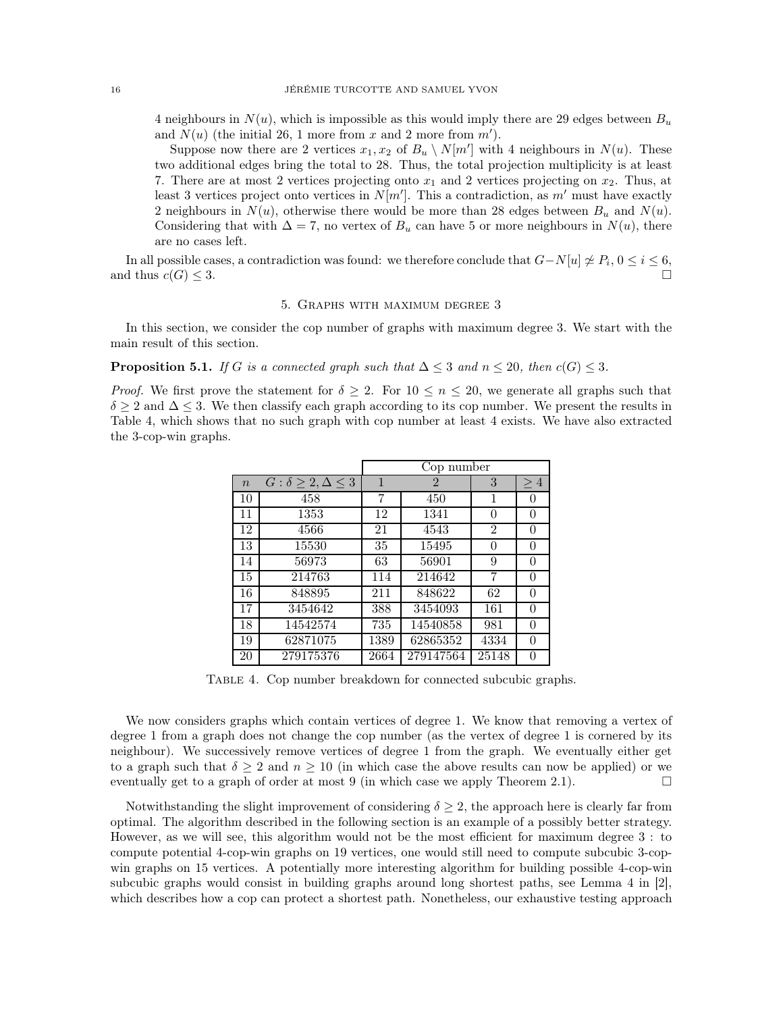4 neighbours in  $N(u)$ , which is impossible as this would imply there are 29 edges between  $B_u$ and  $N(u)$  (the initial 26, 1 more from x and 2 more from  $m'$ ).

Suppose now there are 2 vertices  $x_1, x_2$  of  $B_u \setminus N[m']$  with 4 neighbours in  $N(u)$ . These two additional edges bring the total to 28. Thus, the total projection multiplicity is at least 7. There are at most 2 vertices projecting onto  $x_1$  and 2 vertices projecting on  $x_2$ . Thus, at least 3 vertices project onto vertices in  $N[m']$ . This a contradiction, as m' must have exactly 2 neighbours in  $N(u)$ , otherwise there would be more than 28 edges between  $B_u$  and  $N(u)$ . Considering that with  $\Delta = 7$ , no vertex of  $B_u$  can have 5 or more neighbours in  $N(u)$ , there are no cases left.

<span id="page-15-0"></span>In all possible cases, a contradiction was found: we therefore conclude that  $G-N[u]\nleq P_i, 0 \leq i \leq 6$ , and thus  $c(G) \leq 3$ .

#### 5. Graphs with maximum degree 3

In this section, we consider the cop number of graphs with maximum degree 3. We start with the main result of this section.

<span id="page-15-2"></span>**Proposition 5.1.** *If* G *is a connected graph such that*  $\Delta \leq 3$  *and*  $n \leq 20$ *, then*  $c(G) \leq 3$ *.* 

<span id="page-15-1"></span>*Proof.* We first prove the statement for  $\delta \geq 2$ . For  $10 \leq n \leq 20$ , we generate all graphs such that  $\delta \geq 2$  and  $\Delta \leq 3$ . We then classify each graph according to its cop number. We present the results in Table [4,](#page-15-1) which shows that no such graph with cop number at least 4 exists. We have also extracted the 3-cop-win graphs.

|                  |                                   |      | Cop number     |                |          |  |  |
|------------------|-----------------------------------|------|----------------|----------------|----------|--|--|
| $\boldsymbol{n}$ | $G: \delta \geq 2, \Delta \leq 3$ | 1    | $\overline{2}$ | 3              | $\geq 4$ |  |  |
| 10               | 458                               | 7    | 450            | 1              | $\theta$ |  |  |
| 11               | 1353                              | 12   | 1341           | 0              | $\Omega$ |  |  |
| 12               | 4566                              | 21   | 4543           | $\overline{2}$ | $\Omega$ |  |  |
| 13               | 15530                             | 35   | 15495          | 0              | $\Omega$ |  |  |
| 14               | 56973                             | 63   | 56901          | 9              | 0        |  |  |
| 15               | 214763                            | 114  | 214642         | 7              | $\Omega$ |  |  |
| 16               | 848895                            | 211  | 848622         | 62             | 0        |  |  |
| 17               | 3454642                           | 388  | 3454093        | 161            | 0        |  |  |
| 18               | 14542574                          | 735  | 14540858       | 981            | 0        |  |  |
| 19               | 62871075                          | 1389 | 62865352       | 4334           | $\Omega$ |  |  |
| 20               | 279175376                         | 2664 | 279147564      | 25148          | 0        |  |  |

TABLE 4. Cop number breakdown for connected subcubic graphs.

We now considers graphs which contain vertices of degree 1. We know that removing a vertex of degree 1 from a graph does not change the cop number (as the vertex of degree 1 is cornered by its neighbour). We successively remove vertices of degree 1 from the graph. We eventually either get to a graph such that  $\delta \geq 2$  and  $n \geq 10$  (in which case the above results can now be applied) or we eventually get to a graph of order at most 9 (in which case we apply Theorem [2.1\)](#page-2-1).  $\square$ 

Notwithstanding the slight improvement of considering  $\delta \geq 2$ , the approach here is clearly far from optimal. The algorithm described in the following section is an example of a possibly better strategy. However, as we will see, this algorithm would not be the most efficient for maximum degree 3 : to compute potential 4-cop-win graphs on 19 vertices, one would still need to compute subcubic 3-copwin graphs on 15 vertices. A potentially more interesting algorithm for building possible 4-cop-win subcubic graphs would consist in building graphs around long shortest paths, see Lemma 4 in [\[2\]](#page-25-0), which describes how a cop can protect a shortest path. Nonetheless, our exhaustive testing approach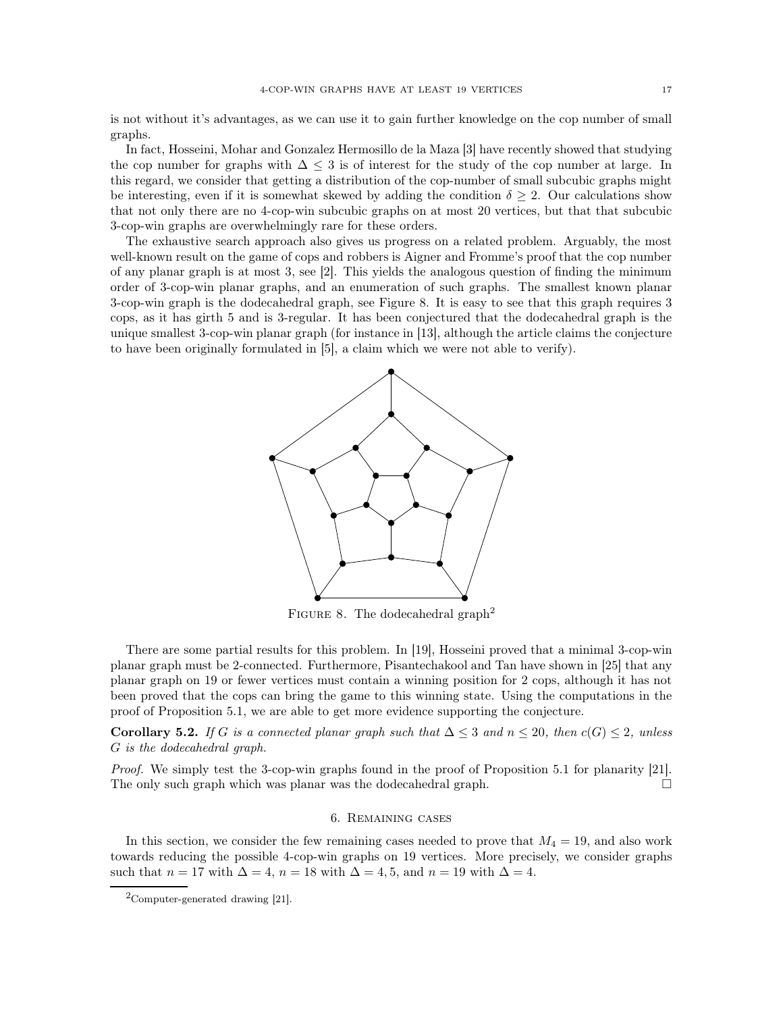is not without it's advantages, as we can use it to gain further knowledge on the cop number of small graphs.

In fact, Hosseini, Mohar and Gonzalez Hermosillo de la Maza [\[3\]](#page-25-9) have recently showed that studying the cop number for graphs with  $\Delta \leq 3$  is of interest for the study of the cop number at large. In this regard, we consider that getting a distribution of the cop-number of small subcubic graphs might be interesting, even if it is somewhat skewed by adding the condition  $\delta \geq 2$ . Our calculations show that not only there are no 4-cop-win subcubic graphs on at most 20 vertices, but that that subcubic 3-cop-win graphs are overwhelmingly rare for these orders.

<span id="page-16-1"></span>The exhaustive search approach also gives us progress on a related problem. Arguably, the most well-known result on the game of cops and robbers is Aigner and Fromme's proof that the cop number of any planar graph is at most 3, see [\[2\]](#page-25-0). This yields the analogous question of finding the minimum order of 3-cop-win planar graphs, and an enumeration of such graphs. The smallest known planar 3-cop-win graph is the dodecahedral graph, see Figure [8.](#page-16-1) It is easy to see that this graph requires 3 cops, as it has girth 5 and is 3-regular. It has been conjectured that the dodecahedral graph is the unique smallest 3-cop-win planar graph (for instance in [\[13\]](#page-26-16), although the article claims the conjecture to have been originally formulated in [\[5\]](#page-25-1), a claim which we were not able to verify).



FIGURE 8. The dodecahedral graph<sup>[2](#page-16-2)</sup>

There are some partial results for this problem. In [\[19\]](#page-26-5), Hosseini proved that a minimal 3-cop-win planar graph must be 2-connected. Furthermore, Pisantechakool and Tan have shown in [\[25\]](#page-26-17) that any planar graph on 19 or fewer vertices must contain a winning position for 2 cops, although it has not been proved that the cops can bring the game to this winning state. Using the computations in the proof of Proposition [5.1,](#page-15-2) we are able to get more evidence supporting the conjecture.

Corollary 5.2. *If* G is a connected planar graph such that  $\Delta \leq 3$  and  $n \leq 20$ , then  $c(G) \leq 2$ , unless G *is the dodecahedral graph.*

<span id="page-16-0"></span>*Proof.* We simply test the 3-cop-win graphs found in the proof of Proposition [5.1](#page-15-2) for planarity [\[21\]](#page-26-10). The only such graph which was planar was the dodecahedral graph.

#### 6. Remaining cases

In this section, we consider the few remaining cases needed to prove that  $M_4 = 19$ , and also work towards reducing the possible 4-cop-win graphs on 19 vertices. More precisely, we consider graphs such that  $n = 17$  with  $\Delta = 4$ ,  $n = 18$  with  $\Delta = 4$ , 5, and  $n = 19$  with  $\Delta = 4$ .

<span id="page-16-2"></span><sup>2</sup>Computer-generated drawing [\[21\]](#page-26-10).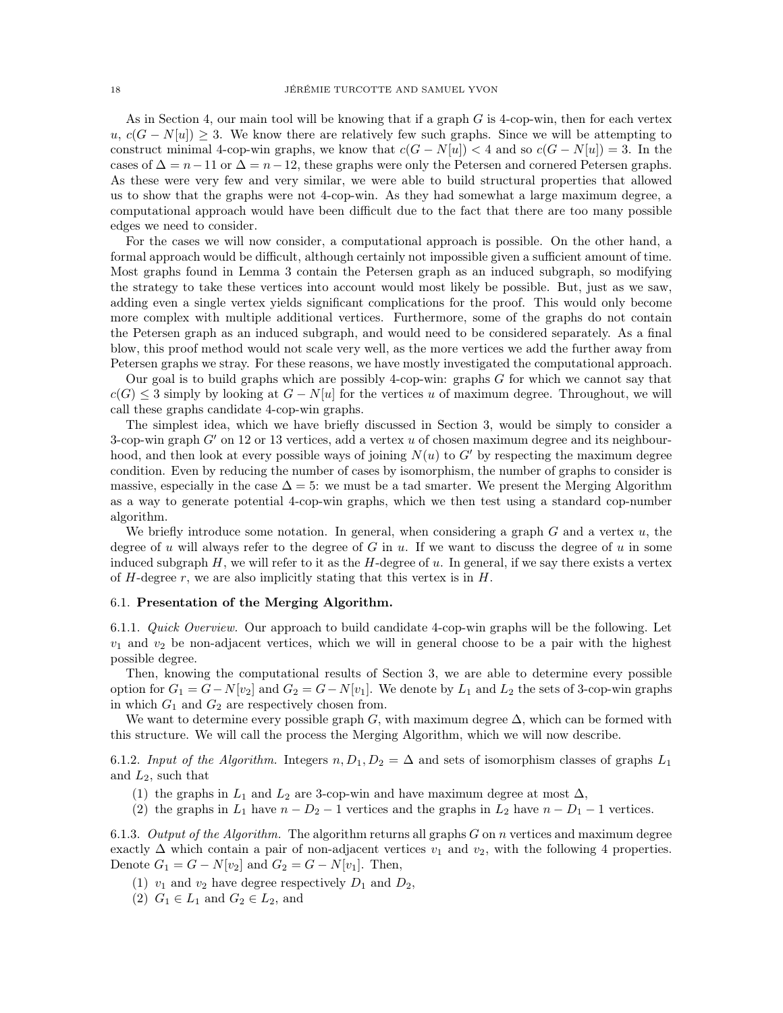As in Section [4,](#page-5-2) our main tool will be knowing that if a graph  $G$  is 4-cop-win, then for each vertex  $u, c(G - N[u]) \geq 3$ . We know there are relatively few such graphs. Since we will be attempting to construct minimal 4-cop-win graphs, we know that  $c(G - N[u]) < 4$  and so  $c(G - N[u]) = 3$ . In the cases of  $\Delta = n-11$  or  $\Delta = n-12$ , these graphs were only the Petersen and cornered Petersen graphs. As these were very few and very similar, we were able to build structural properties that allowed us to show that the graphs were not 4-cop-win. As they had somewhat a large maximum degree, a computational approach would have been difficult due to the fact that there are too many possible edges we need to consider.

For the cases we will now consider, a computational approach is possible. On the other hand, a formal approach would be difficult, although certainly not impossible given a sufficient amount of time. Most graphs found in Lemma [3](#page-3-3) contain the Petersen graph as an induced subgraph, so modifying the strategy to take these vertices into account would most likely be possible. But, just as we saw, adding even a single vertex yields significant complications for the proof. This would only become more complex with multiple additional vertices. Furthermore, some of the graphs do not contain the Petersen graph as an induced subgraph, and would need to be considered separately. As a final blow, this proof method would not scale very well, as the more vertices we add the further away from Petersen graphs we stray. For these reasons, we have mostly investigated the computational approach.

Our goal is to build graphs which are possibly 4-cop-win: graphs G for which we cannot say that  $c(G) \leq 3$  simply by looking at  $G - N[u]$  for the vertices u of maximum degree. Throughout, we will call these graphs candidate 4-cop-win graphs.

The simplest idea, which we have briefly discussed in Section [3,](#page-3-3) would be simply to consider a 3-cop-win graph  $G'$  on 12 or 13 vertices, add a vertex u of chosen maximum degree and its neighbourhood, and then look at every possible ways of joining  $N(u)$  to G' by respecting the maximum degree condition. Even by reducing the number of cases by isomorphism, the number of graphs to consider is massive, especially in the case  $\Delta = 5$ : we must be a tad smarter. We present the Merging Algorithm as a way to generate potential 4-cop-win graphs, which we then test using a standard cop-number algorithm.

We briefly introduce some notation. In general, when considering a graph  $G$  and a vertex  $u$ , the degree of u will always refer to the degree of G in u. If we want to discuss the degree of u in some induced subgraph  $H$ , we will refer to it as the  $H$ -degree of u. In general, if we say there exists a vertex of  $H$ -degree r, we are also implicitly stating that this vertex is in  $H$ .

### 6.1. Presentation of the Merging Algorithm.

6.1.1. *Quick Overview.* Our approach to build candidate 4-cop-win graphs will be the following. Let  $v_1$  and  $v_2$  be non-adjacent vertices, which we will in general choose to be a pair with the highest possible degree.

Then, knowing the computational results of Section [3,](#page-3-3) we are able to determine every possible option for  $G_1 = G - N[v_2]$  and  $G_2 = G - N[v_1]$ . We denote by  $L_1$  and  $L_2$  the sets of 3-cop-win graphs in which  $G_1$  and  $G_2$  are respectively chosen from.

We want to determine every possible graph G, with maximum degree  $\Delta$ , which can be formed with this structure. We will call the process the Merging Algorithm, which we will now describe.

6.1.2. *Input of the Algorithm.* Integers  $n, D_1, D_2 = \Delta$  and sets of isomorphism classes of graphs  $L_1$ and  $L_2$ , such that

- (1) the graphs in  $L_1$  and  $L_2$  are 3-cop-win and have maximum degree at most  $\Delta$ ,
- (2) the graphs in  $L_1$  have  $n D_2 1$  vertices and the graphs in  $L_2$  have  $n D_1 1$  vertices.

<span id="page-17-0"></span>6.1.3. *Output of the Algorithm.* The algorithm returns all graphs G on n vertices and maximum degree exactly  $\Delta$  which contain a pair of non-adjacent vertices  $v_1$  and  $v_2$ , with the following 4 properties. Denote  $G_1 = G - N[v_2]$  and  $G_2 = G - N[v_1]$ . Then,

- (1)  $v_1$  and  $v_2$  have degree respectively  $D_1$  and  $D_2$ ,
- (2)  $G_1 \in L_1$  and  $G_2 \in L_2$ , and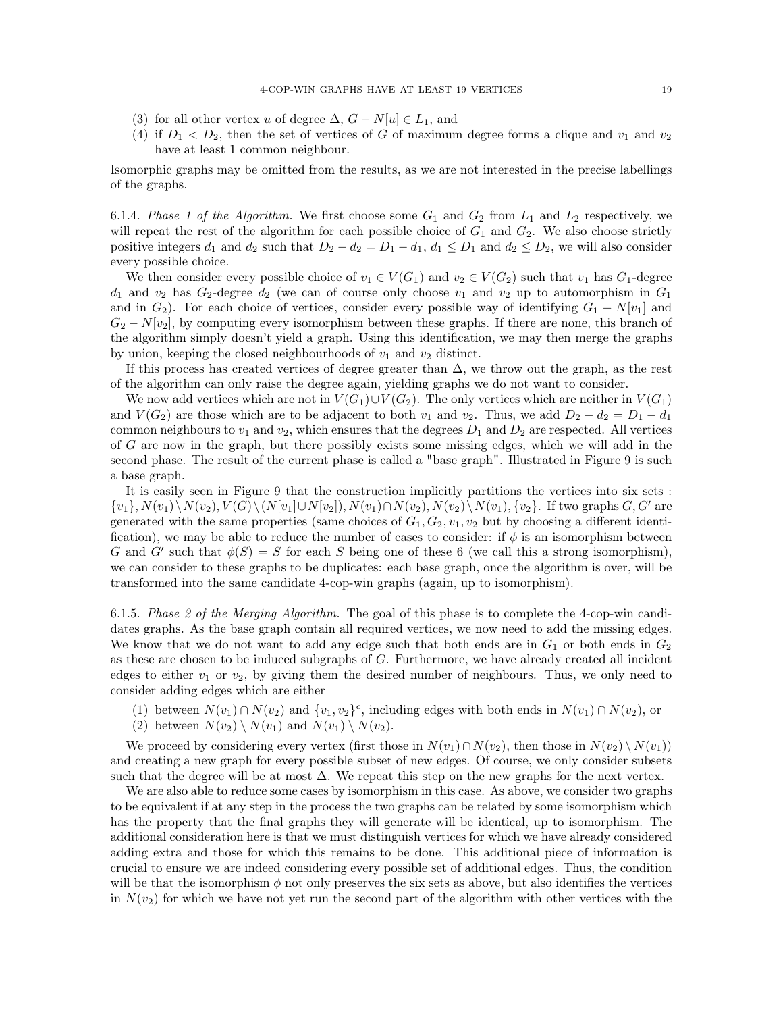- (3) for all other vertex u of degree  $\Delta$ ,  $G N[u] \in L_1$ , and
- (4) if  $D_1 < D_2$ , then the set of vertices of G of maximum degree forms a clique and  $v_1$  and  $v_2$ have at least 1 common neighbour.

Isomorphic graphs may be omitted from the results, as we are not interested in the precise labellings of the graphs.

6.1.4. *Phase 1 of the Algorithm.* We first choose some  $G_1$  and  $G_2$  from  $L_1$  and  $L_2$  respectively, we will repeat the rest of the algorithm for each possible choice of  $G_1$  and  $G_2$ . We also choose strictly positive integers  $d_1$  and  $d_2$  such that  $D_2 - d_2 = D_1 - d_1$ ,  $d_1 \leq D_1$  and  $d_2 \leq D_2$ , we will also consider every possible choice.

We then consider every possible choice of  $v_1 \in V(G_1)$  and  $v_2 \in V(G_2)$  such that  $v_1$  has  $G_1$ -degree  $d_1$  and  $v_2$  has  $G_2$ -degree  $d_2$  (we can of course only choose  $v_1$  and  $v_2$  up to automorphism in  $G_1$ and in  $G_2$ ). For each choice of vertices, consider every possible way of identifying  $G_1 - N[v_1]$  and  $G_2 - N[v_2]$ , by computing every isomorphism between these graphs. If there are none, this branch of the algorithm simply doesn't yield a graph. Using this identification, we may then merge the graphs by union, keeping the closed neighbourhoods of  $v_1$  and  $v_2$  distinct.

If this process has created vertices of degree greater than  $\Delta$ , we throw out the graph, as the rest of the algorithm can only raise the degree again, yielding graphs we do not want to consider.

We now add vertices which are not in  $V(G_1) \cup V(G_2)$ . The only vertices which are neither in  $V(G_1)$ and  $V(G_2)$  are those which are to be adjacent to both  $v_1$  and  $v_2$ . Thus, we add  $D_2 - d_2 = D_1 - d_1$ common neighbours to  $v_1$  and  $v_2$ , which ensures that the degrees  $D_1$  and  $D_2$  are respected. All vertices of G are now in the graph, but there possibly exists some missing edges, which we will add in the second phase. The result of the current phase is called a "base graph". Illustrated in Figure [9](#page-19-0) is such a base graph.

It is easily seen in Figure [9](#page-19-0) that the construction implicitly partitions the vertices into six sets :  $\{v_1\}, N(v_1)\setminus N(v_2), V(G)\setminus (N[v_1]\cup N[v_2]), N(v_1)\cap N(v_2), N(v_2)\setminus N(v_1), \{v_2\}.$  If two graphs  $G, G'$  are generated with the same properties (same choices of  $G_1, G_2, v_1, v_2$  but by choosing a different identification), we may be able to reduce the number of cases to consider: if  $\phi$  is an isomorphism between G and G' such that  $\phi(S) = S$  for each S being one of these 6 (we call this a strong isomorphism), we can consider to these graphs to be duplicates: each base graph, once the algorithm is over, will be transformed into the same candidate 4-cop-win graphs (again, up to isomorphism).

6.1.5. *Phase 2 of the Merging Algorithm.* The goal of this phase is to complete the 4-cop-win candidates graphs. As the base graph contain all required vertices, we now need to add the missing edges. We know that we do not want to add any edge such that both ends are in  $G_1$  or both ends in  $G_2$ as these are chosen to be induced subgraphs of G. Furthermore, we have already created all incident edges to either  $v_1$  or  $v_2$ , by giving them the desired number of neighbours. Thus, we only need to consider adding edges which are either

- (1) between  $N(v_1) \cap N(v_2)$  and  $\{v_1, v_2\}^c$ , including edges with both ends in  $N(v_1) \cap N(v_2)$ , or
- (2) between  $N(v_2) \setminus N(v_1)$  and  $N(v_1) \setminus N(v_2)$ .

We proceed by considering every vertex (first those in  $N(v_1) \cap N(v_2)$ , then those in  $N(v_2) \setminus N(v_1)$ ) and creating a new graph for every possible subset of new edges. Of course, we only consider subsets such that the degree will be at most  $\Delta$ . We repeat this step on the new graphs for the next vertex.

We are also able to reduce some cases by isomorphism in this case. As above, we consider two graphs to be equivalent if at any step in the process the two graphs can be related by some isomorphism which has the property that the final graphs they will generate will be identical, up to isomorphism. The additional consideration here is that we must distinguish vertices for which we have already considered adding extra and those for which this remains to be done. This additional piece of information is crucial to ensure we are indeed considering every possible set of additional edges. Thus, the condition will be that the isomorphism  $\phi$  not only preserves the six sets as above, but also identifies the vertices in  $N(v_2)$  for which we have not yet run the second part of the algorithm with other vertices with the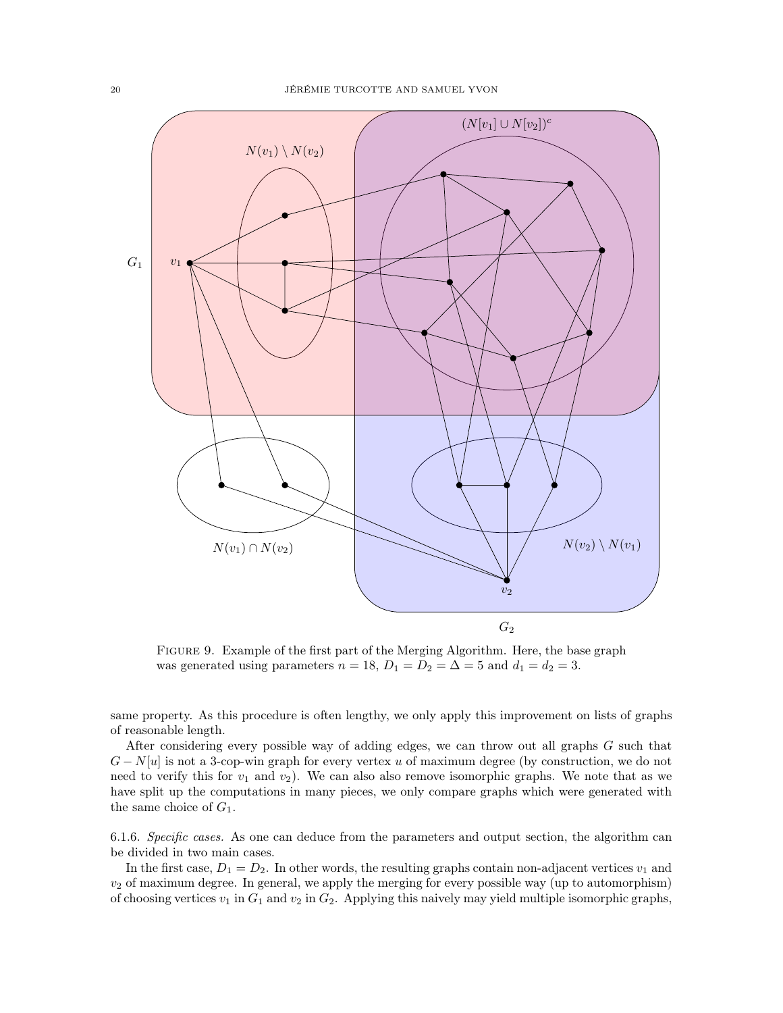<span id="page-19-0"></span>

FIGURE 9. Example of the first part of the Merging Algorithm. Here, the base graph was generated using parameters  $n = 18$ ,  $D_1 = D_2 = \Delta = 5$  and  $d_1 = d_2 = 3$ .

same property. As this procedure is often lengthy, we only apply this improvement on lists of graphs of reasonable length.

After considering every possible way of adding edges, we can throw out all graphs G such that  $G - N[u]$  is not a 3-cop-win graph for every vertex u of maximum degree (by construction, we do not need to verify this for  $v_1$  and  $v_2$ ). We can also also remove isomorphic graphs. We note that as we have split up the computations in many pieces, we only compare graphs which were generated with the same choice of  $G_1$ .

6.1.6. *Specific cases.* As one can deduce from the parameters and output section, the algorithm can be divided in two main cases.

In the first case,  $D_1 = D_2$ . In other words, the resulting graphs contain non-adjacent vertices  $v_1$  and  $v_2$  of maximum degree. In general, we apply the merging for every possible way (up to automorphism) of choosing vertices  $v_1$  in  $G_1$  and  $v_2$  in  $G_2$ . Applying this naively may yield multiple isomorphic graphs,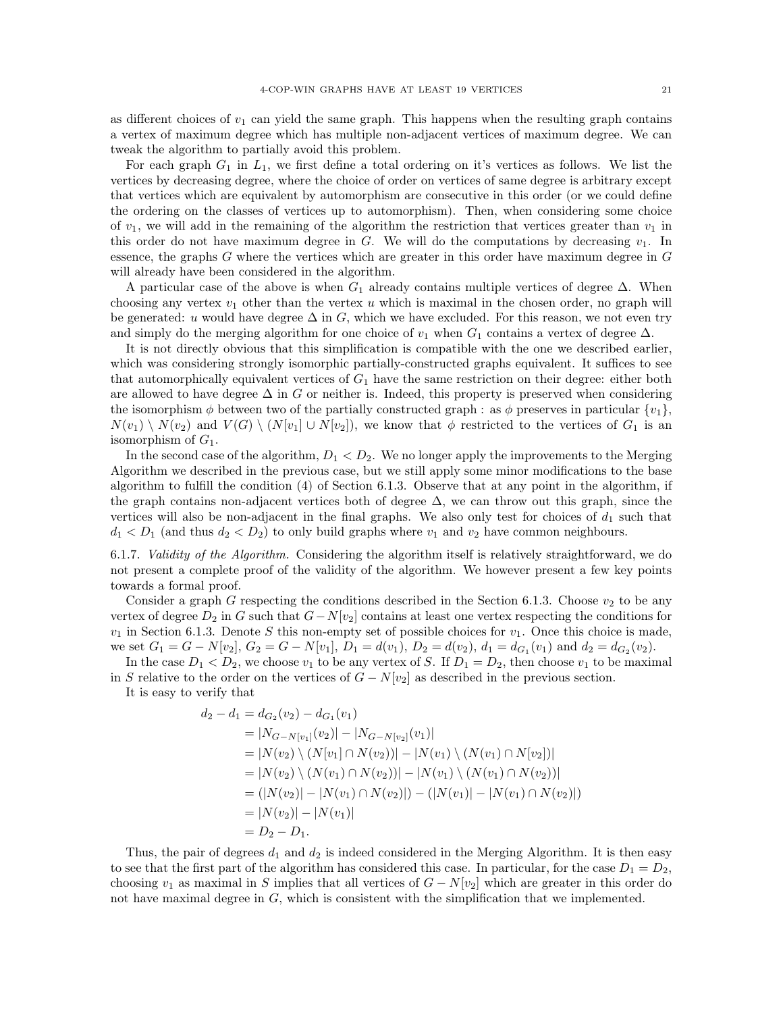as different choices of  $v_1$  can yield the same graph. This happens when the resulting graph contains a vertex of maximum degree which has multiple non-adjacent vertices of maximum degree. We can tweak the algorithm to partially avoid this problem.

For each graph  $G_1$  in  $L_1$ , we first define a total ordering on it's vertices as follows. We list the vertices by decreasing degree, where the choice of order on vertices of same degree is arbitrary except that vertices which are equivalent by automorphism are consecutive in this order (or we could define the ordering on the classes of vertices up to automorphism). Then, when considering some choice of  $v_1$ , we will add in the remaining of the algorithm the restriction that vertices greater than  $v_1$  in this order do not have maximum degree in G. We will do the computations by decreasing  $v_1$ . In essence, the graphs G where the vertices which are greater in this order have maximum degree in G will already have been considered in the algorithm.

A particular case of the above is when  $G_1$  already contains multiple vertices of degree  $\Delta$ . When choosing any vertex  $v_1$  other than the vertex u which is maximal in the chosen order, no graph will be generated: u would have degree  $\Delta$  in G, which we have excluded. For this reason, we not even try and simply do the merging algorithm for one choice of  $v_1$  when  $G_1$  contains a vertex of degree  $\Delta$ .

It is not directly obvious that this simplification is compatible with the one we described earlier, which was considering strongly isomorphic partially-constructed graphs equivalent. It suffices to see that automorphically equivalent vertices of  $G_1$  have the same restriction on their degree: either both are allowed to have degree  $\Delta$  in G or neither is. Indeed, this property is preserved when considering the isomorphism  $\phi$  between two of the partially constructed graph : as  $\phi$  preserves in particular  $\{v_1\}$ ,  $N(v_1) \setminus N(v_2)$  and  $V(G) \setminus (N[v_1] \cup N[v_2])$ , we know that  $\phi$  restricted to the vertices of  $G_1$  is an isomorphism of  $G_1$ .

In the second case of the algorithm,  $D_1 < D_2$ . We no longer apply the improvements to the Merging Algorithm we described in the previous case, but we still apply some minor modifications to the base algorithm to fulfill the condition (4) of Section [6.1.3.](#page-17-0) Observe that at any point in the algorithm, if the graph contains non-adjacent vertices both of degree  $\Delta$ , we can throw out this graph, since the vertices will also be non-adjacent in the final graphs. We also only test for choices of  $d_1$  such that  $d_1 < D_1$  (and thus  $d_2 < D_2$ ) to only build graphs where  $v_1$  and  $v_2$  have common neighbours.

6.1.7. *Validity of the Algorithm.* Considering the algorithm itself is relatively straightforward, we do not present a complete proof of the validity of the algorithm. We however present a few key points towards a formal proof.

Consider a graph G respecting the conditions described in the Section [6.1.3.](#page-17-0) Choose  $v_2$  to be any vertex of degree  $D_2$  in G such that  $G-N[v_2]$  contains at least one vertex respecting the conditions for  $v_1$  in Section [6.1.3.](#page-17-0) Denote S this non-empty set of possible choices for  $v_1$ . Once this choice is made, we set  $G_1 = G - N[v_2], G_2 = G - N[v_1], D_1 = d(v_1), D_2 = d(v_2), d_1 = d_{G_1}(v_1)$  and  $d_2 = d_{G_2}(v_2)$ .

In the case  $D_1 < D_2$ , we choose  $v_1$  to be any vertex of S. If  $D_1 = D_2$ , then choose  $v_1$  to be maximal in S relative to the order on the vertices of  $G - N[v_2]$  as described in the previous section.

It is easy to verify that

$$
d_2 - d_1 = d_{G_2}(v_2) - d_{G_1}(v_1)
$$
  
=  $|N_{G-N[v_1]}(v_2)| - |N_{G-N[v_2]}(v_1)|$   
=  $|N(v_2) \setminus (N[v_1] \cap N(v_2))| - |N(v_1) \setminus (N(v_1) \cap N[v_2])|$   
=  $|N(v_2) \setminus (N(v_1) \cap N(v_2))| - |N(v_1) \setminus (N(v_1) \cap N(v_2))|$   
=  $(|N(v_2)| - |N(v_1) \cap N(v_2)|) - (|N(v_1)| - |N(v_1) \cap N(v_2)|)$   
=  $|N(v_2)| - |N(v_1)|$   
=  $D_2 - D_1$ .

Thus, the pair of degrees  $d_1$  and  $d_2$  is indeed considered in the Merging Algorithm. It is then easy to see that the first part of the algorithm has considered this case. In particular, for the case  $D_1 = D_2$ , choosing  $v_1$  as maximal in S implies that all vertices of  $G - N[v_2]$  which are greater in this order do not have maximal degree in  $G$ , which is consistent with the simplification that we implemented.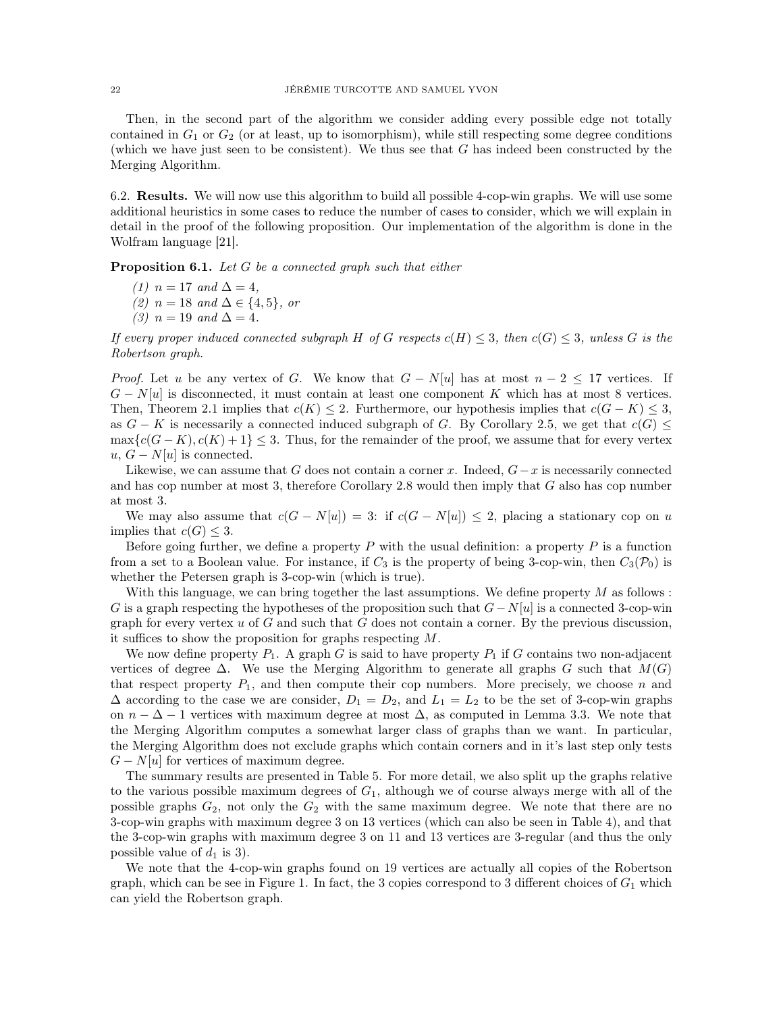Then, in the second part of the algorithm we consider adding every possible edge not totally contained in  $G_1$  or  $G_2$  (or at least, up to isomorphism), while still respecting some degree conditions (which we have just seen to be consistent). We thus see that  $G$  has indeed been constructed by the Merging Algorithm.

6.2. Results. We will now use this algorithm to build all possible 4-cop-win graphs. We will use some additional heuristics in some cases to reduce the number of cases to consider, which we will explain in detail in the proof of the following proposition. Our implementation of the algorithm is done in the Wolfram language [\[21\]](#page-26-10).

<span id="page-21-0"></span>Proposition 6.1. *Let* G *be a connected graph such that either*

*(1)*  $n = 17$  *and*  $\Delta = 4$ *, (2)* n = 18 *and* ∆ ∈ {4, 5}*, or (3)*  $n = 19$  *and*  $\Delta = 4$ *.* 

*If every proper induced connected subgraph* H of G respects  $c(H) \leq 3$ , then  $c(G) \leq 3$ , unless G is the *Robertson graph.*

*Proof.* Let u be any vertex of G. We know that  $G - N[u]$  has at most  $n - 2 \leq 17$  vertices. If  $G - N[u]$  is disconnected, it must contain at least one component K which has at most 8 vertices. Then, Theorem [2.1](#page-2-1) implies that  $c(K) \leq 2$ . Furthermore, our hypothesis implies that  $c(G - K) \leq 3$ , as  $G - K$  is necessarily a connected induced subgraph of G. By Corollary [2.5,](#page-2-2) we get that  $c(G) \leq$  $\max\{c(G-K), c(K)+1\} \leq 3$ . Thus, for the remainder of the proof, we assume that for every vertex  $u, G - N[u]$  is connected.

Likewise, we can assume that G does not contain a corner x. Indeed,  $G-x$  is necessarily connected and has cop number at most 3, therefore Corollary [2.8](#page-3-0) would then imply that G also has cop number at most 3.

We may also assume that  $c(G - N[u]) = 3$ : if  $c(G - N[u]) \leq 2$ , placing a stationary cop on u implies that  $c(G) \leq 3$ .

Before going further, we define a property  $P$  with the usual definition: a property  $P$  is a function from a set to a Boolean value. For instance, if  $C_3$  is the property of being 3-cop-win, then  $C_3(\mathcal{P}_0)$  is whether the Petersen graph is 3-cop-win (which is true).

With this language, we can bring together the last assumptions. We define property  $M$  as follows : G is a graph respecting the hypotheses of the proposition such that  $G-N[u]$  is a connected 3-cop-win graph for every vertex  $u$  of  $G$  and such that  $G$  does not contain a corner. By the previous discussion, it suffices to show the proposition for graphs respecting M.

We now define property  $P_1$ . A graph G is said to have property  $P_1$  if G contains two non-adjacent vertices of degree  $\Delta$ . We use the Merging Algorithm to generate all graphs G such that  $M(G)$ that respect property  $P_1$ , and then compute their cop numbers. More precisely, we choose n and  $\Delta$  according to the case we are consider,  $D_1 = D_2$ , and  $L_1 = L_2$  to be the set of 3-cop-win graphs on  $n - \Delta - 1$  vertices with maximum degree at most  $\Delta$ , as computed in Lemma [3.3.](#page-4-1) We note that the Merging Algorithm computes a somewhat larger class of graphs than we want. In particular, the Merging Algorithm does not exclude graphs which contain corners and in it's last step only tests  $G - N[u]$  for vertices of maximum degree.

The summary results are presented in Table [5.](#page-22-0) For more detail, we also split up the graphs relative to the various possible maximum degrees of  $G_1$ , although we of course always merge with all of the possible graphs  $G_2$ , not only the  $G_2$  with the same maximum degree. We note that there are no 3-cop-win graphs with maximum degree 3 on 13 vertices (which can also be seen in Table [4\)](#page-15-1), and that the 3-cop-win graphs with maximum degree 3 on 11 and 13 vertices are 3-regular (and thus the only possible value of  $d_1$  is 3).

We note that the 4-cop-win graphs found on 19 vertices are actually all copies of the Robertson graph, which can be see in Figure [1.](#page-1-0) In fact, the 3 copies correspond to 3 different choices of  $G_1$  which can yield the Robertson graph.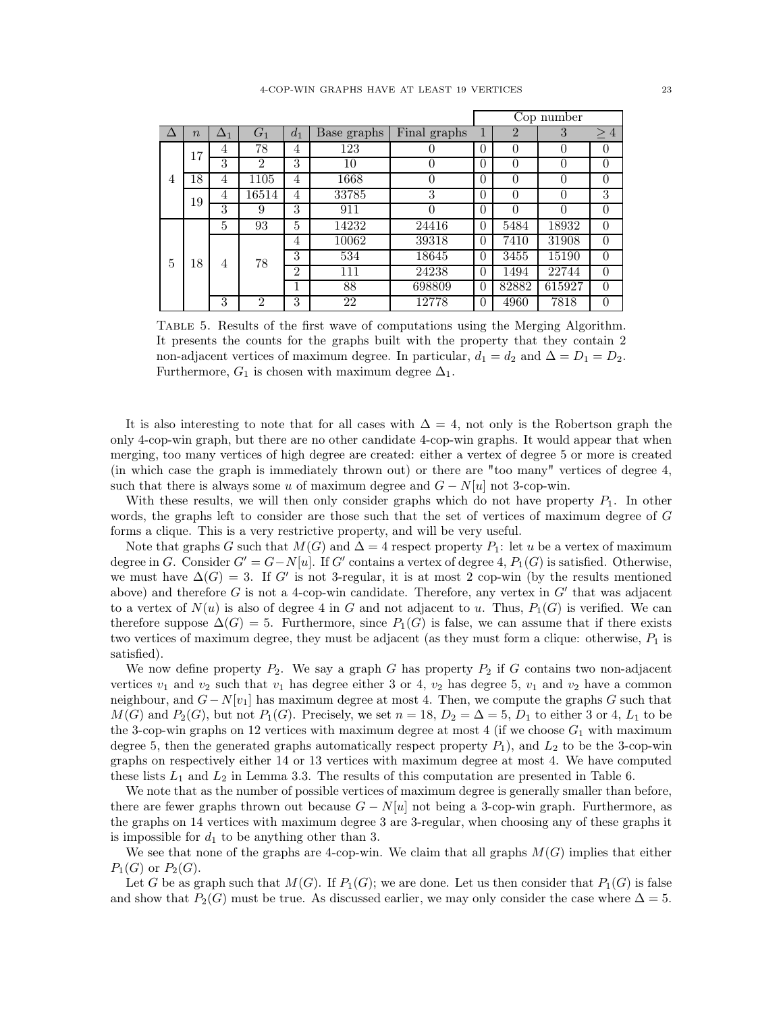<span id="page-22-0"></span>

|   |                |            |                |                |             |                |          | Cop number     |          |                |       |
|---|----------------|------------|----------------|----------------|-------------|----------------|----------|----------------|----------|----------------|-------|
|   | $\overline{n}$ | $\Delta_1$ | G <sub>1</sub> | $d_1$          | Base graphs | Final graphs   | 1        | $\overline{2}$ | 3        | $\geq 4$       |       |
| 4 | 17<br>18       | 4          | 78             | 4              | 123         | 0              | $\Omega$ | 0              | $\Omega$ | 0              |       |
|   |                | 3          | $\overline{2}$ | 3              | 10          | 0              | $\Omega$ | 0              | 0        | $\theta$       |       |
|   |                | 4          | 1105           | $\overline{4}$ | 1668        | $\overline{0}$ | $\Omega$ | $\Omega$       | $\Omega$ | $\theta$       |       |
|   | 19             | 4          | 16514          | $\overline{4}$ | 33785       | 3              | $\Omega$ | $\Omega$       | $\Omega$ | 3              |       |
|   |                | 3          | 9              | 3              | 911         | $\theta$       | $\Omega$ | 0              | $\Omega$ | $\overline{0}$ |       |
| 5 |                | 5          | 93             | 5              | 14232       | 24416          | $\theta$ | 5484           | 18932    | $\overline{0}$ |       |
|   |                |            |                | 4              | 10062       | 39318          | $\theta$ | 7410           | 31908    | $\overline{0}$ |       |
|   |                | 18         |                | 4              | 78          | 3              | 534      | 18645          | $\Omega$ | 3455           | 15190 |
|   |                |            |                | $\overline{2}$ | 111         | 24238          | $\Omega$ | 1494           | 22744    | $\theta$       |       |
|   |                |            |                | 1              | 88          | 698809         | $\Omega$ | 82882          | 615927   | $\theta$       |       |
|   |                | 3          | $\Omega$       | 3              | 22          | 12778          | $\theta$ | 4960           | 7818     | $\theta$       |       |

Table 5. Results of the first wave of computations using the Merging Algorithm. It presents the counts for the graphs built with the property that they contain 2 non-adjacent vertices of maximum degree. In particular,  $d_1 = d_2$  and  $\Delta = D_1 = D_2$ . Furthermore,  $G_1$  is chosen with maximum degree  $\Delta_1$ .

It is also interesting to note that for all cases with  $\Delta = 4$ , not only is the Robertson graph the only 4-cop-win graph, but there are no other candidate 4-cop-win graphs. It would appear that when merging, too many vertices of high degree are created: either a vertex of degree 5 or more is created (in which case the graph is immediately thrown out) or there are "too many" vertices of degree 4, such that there is always some u of maximum degree and  $G - N[u]$  not 3-cop-win.

With these results, we will then only consider graphs which do not have property  $P_1$ . In other words, the graphs left to consider are those such that the set of vertices of maximum degree of G forms a clique. This is a very restrictive property, and will be very useful.

Note that graphs G such that  $M(G)$  and  $\Delta = 4$  respect property  $P_1$ : let u be a vertex of maximum degree in G. Consider  $G' = G - N[u]$ . If G' contains a vertex of degree 4,  $P_1(G)$  is satisfied. Otherwise, we must have  $\Delta(G) = 3$ . If G' is not 3-regular, it is at most 2 cop-win (by the results mentioned above) and therefore  $G$  is not a 4-cop-win candidate. Therefore, any vertex in  $G'$  that was adjacent to a vertex of  $N(u)$  is also of degree 4 in G and not adjacent to u. Thus,  $P_1(G)$  is verified. We can therefore suppose  $\Delta(G) = 5$ . Furthermore, since  $P_1(G)$  is false, we can assume that if there exists two vertices of maximum degree, they must be adjacent (as they must form a clique: otherwise,  $P_1$  is satisfied).

We now define property  $P_2$ . We say a graph G has property  $P_2$  if G contains two non-adjacent vertices  $v_1$  and  $v_2$  such that  $v_1$  has degree either 3 or 4,  $v_2$  has degree 5,  $v_1$  and  $v_2$  have a common neighbour, and  $G - N[v_1]$  has maximum degree at most 4. Then, we compute the graphs G such that  $M(G)$  and  $P_2(G)$ , but not  $P_1(G)$ . Precisely, we set  $n = 18$ ,  $D_2 = \Delta = 5$ ,  $D_1$  to either 3 or 4,  $L_1$  to be the 3-cop-win graphs on 12 vertices with maximum degree at most 4 (if we choose  $G_1$  with maximum degree 5, then the generated graphs automatically respect property  $P_1$ ), and  $L_2$  to be the 3-cop-win graphs on respectively either 14 or 13 vertices with maximum degree at most 4. We have computed these lists  $L_1$  and  $L_2$  in Lemma [3.3.](#page-4-1) The results of this computation are presented in Table [6.](#page-23-0)

We note that as the number of possible vertices of maximum degree is generally smaller than before, there are fewer graphs thrown out because  $G - N[u]$  not being a 3-cop-win graph. Furthermore, as the graphs on 14 vertices with maximum degree 3 are 3-regular, when choosing any of these graphs it is impossible for  $d_1$  to be anything other than 3.

We see that none of the graphs are 4-cop-win. We claim that all graphs  $M(G)$  implies that either  $P_1(G)$  or  $P_2(G)$ .

Let G be as graph such that  $M(G)$ . If  $P_1(G)$ ; we are done. Let us then consider that  $P_1(G)$  is false and show that  $P_2(G)$  must be true. As discussed earlier, we may only consider the case where  $\Delta = 5$ .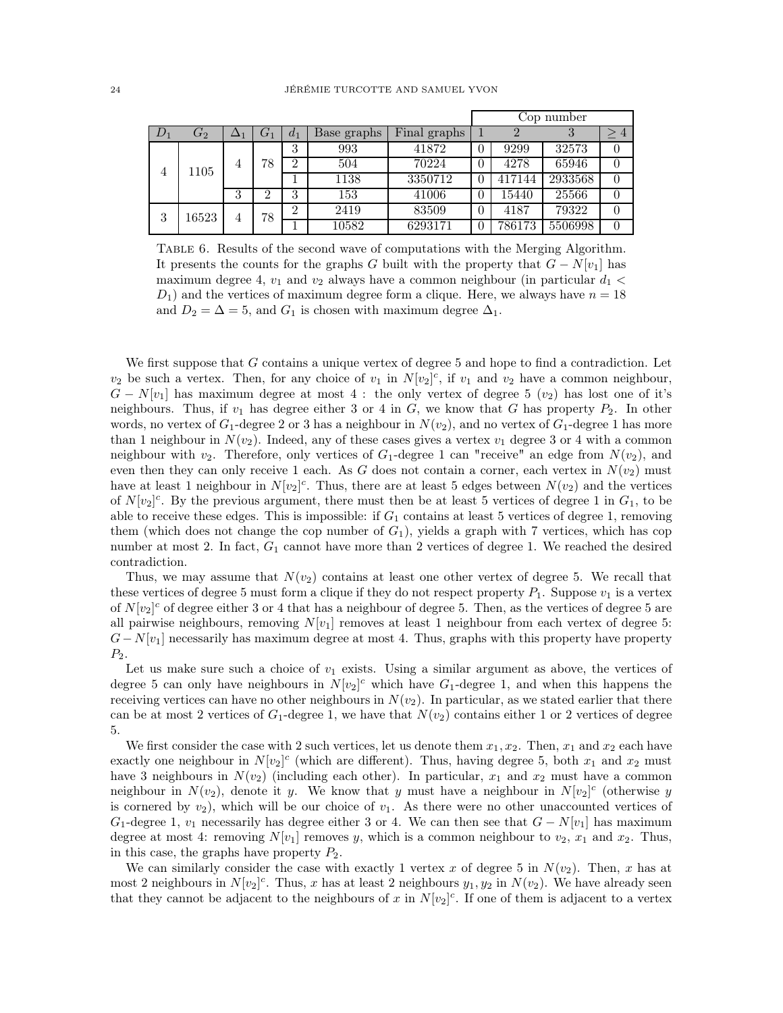<span id="page-23-0"></span>

|                |               |            |       |                |             |                | Cop number |        |         |                |          |  |
|----------------|---------------|------------|-------|----------------|-------------|----------------|------------|--------|---------|----------------|----------|--|
| $D_1$          | $\, G_{2} \,$ | $\Delta_1$ | $G_1$ | $d_1$          | Base graphs | Final graphs   |            |        |         | $\overline{4}$ |          |  |
| $\overline{4}$ | 1105          | 4          | 78    | 3              | 993         | 41872          |            | 9299   | 32573   |                |          |  |
|                |               |            |       | $\overline{2}$ | 504         | 70224          |            | 4278   | 65946   |                |          |  |
|                |               |            |       |                | 1138        | 3350712        |            | 417144 | 2933568 |                |          |  |
|                |               | 3          | 2     | 3              | 153         | 41006          |            | 15440  | 25566   | $\theta$       |          |  |
| 3              | 16523         |            |       |                | 78<br>4     | $\overline{2}$ | 2419       | 83509  |         | 4187           | 79322    |  |
|                |               |            |       |                |             | 10582          | 6293171    |        | 786173  | 5506998        | $\theta$ |  |

TABLE 6. Results of the second wave of computations with the Merging Algorithm. It presents the counts for the graphs G built with the property that  $G - N[v_1]$  has maximum degree 4,  $v_1$  and  $v_2$  always have a common neighbour (in particular  $d_1$  <  $D_1$ ) and the vertices of maximum degree form a clique. Here, we always have  $n = 18$ and  $D_2 = \Delta = 5$ , and  $G_1$  is chosen with maximum degree  $\Delta_1$ .

We first suppose that G contains a unique vertex of degree 5 and hope to find a contradiction. Let  $v_2$  be such a vertex. Then, for any choice of  $v_1$  in  $N[v_2]^c$ , if  $v_1$  and  $v_2$  have a common neighbour,  $G - N[v_1]$  has maximum degree at most 4 : the only vertex of degree 5  $(v_2)$  has lost one of it's neighbours. Thus, if  $v_1$  has degree either 3 or 4 in  $G$ , we know that G has property  $P_2$ . In other words, no vertex of  $G_1$ -degree 2 or 3 has a neighbour in  $N(v_2)$ , and no vertex of  $G_1$ -degree 1 has more than 1 neighbour in  $N(v_2)$ . Indeed, any of these cases gives a vertex  $v_1$  degree 3 or 4 with a common neighbour with  $v_2$ . Therefore, only vertices of  $G_1$ -degree 1 can "receive" an edge from  $N(v_2)$ , and even then they can only receive 1 each. As G does not contain a corner, each vertex in  $N(v_2)$  must have at least 1 neighbour in  $N[v_2]^c$ . Thus, there are at least 5 edges between  $N(v_2)$  and the vertices of  $N[v_2]^c$ . By the previous argument, there must then be at least 5 vertices of degree 1 in  $G_1$ , to be able to receive these edges. This is impossible: if  $G_1$  contains at least 5 vertices of degree 1, removing them (which does not change the cop number of  $G_1$ ), yields a graph with 7 vertices, which has cop number at most 2. In fact,  $G_1$  cannot have more than 2 vertices of degree 1. We reached the desired contradiction.

Thus, we may assume that  $N(v_2)$  contains at least one other vertex of degree 5. We recall that these vertices of degree 5 must form a clique if they do not respect property  $P_1$ . Suppose  $v_1$  is a vertex of  $N[v_2]^c$  of degree either 3 or 4 that has a neighbour of degree 5. Then, as the vertices of degree 5 are all pairwise neighbours, removing  $N[v_1]$  removes at least 1 neighbour from each vertex of degree 5:  $G-N[v_1]$  necessarily has maximum degree at most 4. Thus, graphs with this property have property  $P_2$ .

Let us make sure such a choice of  $v_1$  exists. Using a similar argument as above, the vertices of degree 5 can only have neighbours in  $N[v_2]^c$  which have  $G_1$ -degree 1, and when this happens the receiving vertices can have no other neighbours in  $N(v_2)$ . In particular, as we stated earlier that there can be at most 2 vertices of  $G_1$ -degree 1, we have that  $N(v_2)$  contains either 1 or 2 vertices of degree 5.

We first consider the case with 2 such vertices, let us denote them  $x_1, x_2$ . Then,  $x_1$  and  $x_2$  each have exactly one neighbour in  $N[v_2]^c$  (which are different). Thus, having degree 5, both  $x_1$  and  $x_2$  must have 3 neighbours in  $N(v_2)$  (including each other). In particular,  $x_1$  and  $x_2$  must have a common neighbour in  $N(v_2)$ , denote it y. We know that y must have a neighbour in  $N[v_2]^c$  (otherwise y is cornered by  $v_2$ ), which will be our choice of  $v_1$ . As there were no other unaccounted vertices of  $G_1$ -degree 1,  $v_1$  necessarily has degree either 3 or 4. We can then see that  $G - N[v_1]$  has maximum degree at most 4: removing  $N[v_1]$  removes y, which is a common neighbour to  $v_2$ ,  $x_1$  and  $x_2$ . Thus, in this case, the graphs have property  $P_2$ .

We can similarly consider the case with exactly 1 vertex x of degree 5 in  $N(v_2)$ . Then, x has at most 2 neighbours in  $N[v_2]^c$ . Thus, x has at least 2 neighbours  $y_1, y_2$  in  $N(v_2)$ . We have already seen that they cannot be adjacent to the neighbours of x in  $N[v_2]^c$ . If one of them is adjacent to a vertex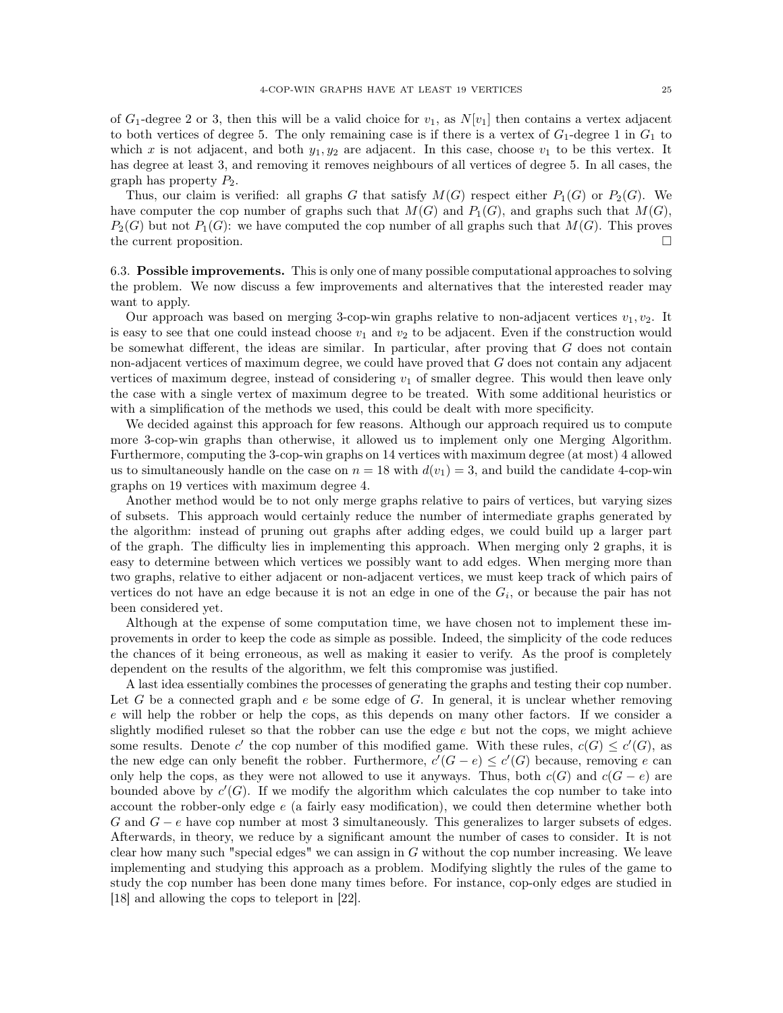of  $G_1$ -degree 2 or 3, then this will be a valid choice for  $v_1$ , as  $N[v_1]$  then contains a vertex adjacent to both vertices of degree 5. The only remaining case is if there is a vertex of  $G_1$ -degree 1 in  $G_1$  to which x is not adjacent, and both  $y_1, y_2$  are adjacent. In this case, choose  $v_1$  to be this vertex. It has degree at least 3, and removing it removes neighbours of all vertices of degree 5. In all cases, the graph has property  $P_2$ .

Thus, our claim is verified: all graphs G that satisfy  $M(G)$  respect either  $P_1(G)$  or  $P_2(G)$ . We have computer the cop number of graphs such that  $M(G)$  and  $P_1(G)$ , and graphs such that  $M(G)$ ,  $P_2(G)$  but not  $P_1(G)$ : we have computed the cop number of all graphs such that  $M(G)$ . This proves the current proposition.

6.3. Possible improvements. This is only one of many possible computational approaches to solving the problem. We now discuss a few improvements and alternatives that the interested reader may want to apply.

Our approach was based on merging 3-cop-win graphs relative to non-adjacent vertices  $v_1, v_2$ . It is easy to see that one could instead choose  $v_1$  and  $v_2$  to be adjacent. Even if the construction would be somewhat different, the ideas are similar. In particular, after proving that  $G$  does not contain non-adjacent vertices of maximum degree, we could have proved that G does not contain any adjacent vertices of maximum degree, instead of considering  $v_1$  of smaller degree. This would then leave only the case with a single vertex of maximum degree to be treated. With some additional heuristics or with a simplification of the methods we used, this could be dealt with more specificity.

We decided against this approach for few reasons. Although our approach required us to compute more 3-cop-win graphs than otherwise, it allowed us to implement only one Merging Algorithm. Furthermore, computing the 3-cop-win graphs on 14 vertices with maximum degree (at most) 4 allowed us to simultaneously handle on the case on  $n = 18$  with  $d(v_1) = 3$ , and build the candidate 4-cop-win graphs on 19 vertices with maximum degree 4.

Another method would be to not only merge graphs relative to pairs of vertices, but varying sizes of subsets. This approach would certainly reduce the number of intermediate graphs generated by the algorithm: instead of pruning out graphs after adding edges, we could build up a larger part of the graph. The difficulty lies in implementing this approach. When merging only 2 graphs, it is easy to determine between which vertices we possibly want to add edges. When merging more than two graphs, relative to either adjacent or non-adjacent vertices, we must keep track of which pairs of vertices do not have an edge because it is not an edge in one of the  $G_i$ , or because the pair has not been considered yet.

Although at the expense of some computation time, we have chosen not to implement these improvements in order to keep the code as simple as possible. Indeed, the simplicity of the code reduces the chances of it being erroneous, as well as making it easier to verify. As the proof is completely dependent on the results of the algorithm, we felt this compromise was justified.

A last idea essentially combines the processes of generating the graphs and testing their cop number. Let G be a connected graph and  $e$  be some edge of G. In general, it is unclear whether removing e will help the robber or help the cops, as this depends on many other factors. If we consider a slightly modified rules t so that the robber can use the edge  $e$  but not the cops, we might achieve some results. Denote c' the cop number of this modified game. With these rules,  $c(G) \le c'(G)$ , as the new edge can only benefit the robber. Furthermore,  $c'(G - e) \le c'(G)$  because, removing e can only help the cops, as they were not allowed to use it anyways. Thus, both  $c(G)$  and  $c(G - e)$  are bounded above by  $c'(G)$ . If we modify the algorithm which calculates the cop number to take into account the robber-only edge e (a fairly easy modification), we could then determine whether both G and  $G - e$  have cop number at most 3 simultaneously. This generalizes to larger subsets of edges. Afterwards, in theory, we reduce by a significant amount the number of cases to consider. It is not clear how many such "special edges" we can assign in  $G$  without the cop number increasing. We leave implementing and studying this approach as a problem. Modifying slightly the rules of the game to study the cop number has been done many times before. For instance, cop-only edges are studied in [\[18\]](#page-26-18) and allowing the cops to teleport in [\[22\]](#page-26-19).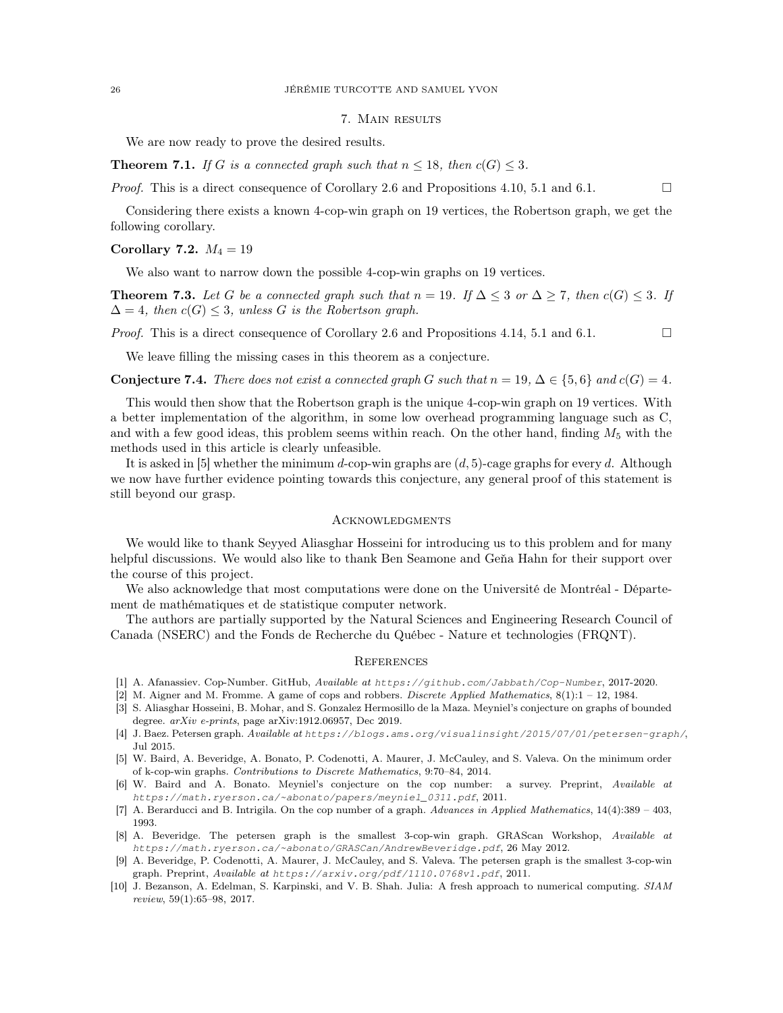# 7. Main results

We are now ready to prove the desired results.

**Theorem 7.1.** *If* G *is a connected graph such that*  $n \leq 18$ *, then*  $c(G) \leq 3$ *.* 

*Proof.* This is a direct consequence of Corollary [2.6](#page-3-1) and Propositions [4.10,](#page-12-0) [5.1](#page-15-2) and [6.1.](#page-21-0)  $\Box$ 

Considering there exists a known 4-cop-win graph on 19 vertices, the Robertson graph, we get the following corollary.

#### Corollary 7.2.  $M_4 = 19$

We also want to narrow down the possible 4-cop-win graphs on 19 vertices.

**Theorem 7.3.** Let G be a connected graph such that  $n = 19$ . If  $\Delta \leq 3$  or  $\Delta \geq 7$ , then  $c(G) \leq 3$ . If  $\Delta = 4$ , then  $c(G) \leq 3$ , unless G is the Robertson graph.

*Proof.* This is a direct consequence of Corollary [2.6](#page-3-1) and Propositions [4.14,](#page-14-0) [5.1](#page-15-2) and [6.1.](#page-21-0)  $\Box$ 

We leave filling the missing cases in this theorem as a conjecture.

**Conjecture 7.4.** *There does not exist a connected graph* G *such that*  $n = 19$ ,  $\Delta \in \{5, 6\}$  *and*  $c(G) = 4$ *.* 

This would then show that the Robertson graph is the unique 4-cop-win graph on 19 vertices. With a better implementation of the algorithm, in some low overhead programming language such as C, and with a few good ideas, this problem seems within reach. On the other hand, finding  $M_5$  with the methods used in this article is clearly unfeasible.

It is asked in [\[5\]](#page-25-1) whether the minimum d-cop-win graphs are  $(d, 5)$ -cage graphs for every d. Although we now have further evidence pointing towards this conjecture, any general proof of this statement is still beyond our grasp.

# **ACKNOWLEDGMENTS**

We would like to thank Seyyed Aliasghar Hosseini for introducing us to this problem and for many helpful discussions. We would also like to thank Ben Seamone and Geňa Hahn for their support over the course of this project.

We also acknowledge that most computations were done on the Université de Montréal - Département de mathématiques et de statistique computer network.

The authors are partially supported by the Natural Sciences and Engineering Research Council of Canada (NSERC) and the Fonds de Recherche du Québec - Nature et technologies (FRQNT).

# **REFERENCES**

- <span id="page-25-7"></span><span id="page-25-0"></span>[1] A. Afanassiev. Cop-Number. GitHub, Available at *<https://github.com/Jabbath/Cop-Number>*, 2017-2020.
- <span id="page-25-9"></span>[2] M. Aigner and M. Fromme. A game of cops and robbers. *Discrete Applied Mathematics*,  $8(1)$ :1 – 12, 1984.
- [3] S. Aliasghar Hosseini, B. Mohar, and S. Gonzalez Hermosillo de la Maza. Meyniel's conjecture on graphs of bounded degree. arXiv e-prints, page arXiv:1912.06957, Dec 2019.
- <span id="page-25-8"></span>[4] J. Baez. Petersen graph. Available at *<https://blogs.ams.org/visualinsight/2015/07/01/petersen-graph/>*, Jul 2015.
- <span id="page-25-1"></span>[5] W. Baird, A. Beveridge, A. Bonato, P. Codenotti, A. Maurer, J. McCauley, and S. Valeva. On the minimum order of k-cop-win graphs. Contributions to Discrete Mathematics, 9:70–84, 2014.
- <span id="page-25-2"></span>[6] W. Baird and A. Bonato. Meyniel's conjecture on the cop number: a survey. Preprint, Available at *[https://math.ryerson.ca/~abonato/papers/meyniel\\_0311.pdf](https://math.ryerson.ca/~abonato/papers/meyniel_0311.pdf)*, 2011.
- <span id="page-25-5"></span>[7] A. Berarducci and B. Intrigila. On the cop number of a graph. Advances in Applied Mathematics, 14(4):389 – 403, 1993.
- <span id="page-25-4"></span>[8] A. Beveridge. The petersen graph is the smallest 3-cop-win graph. GRAScan Workshop, Available at *<https://math.ryerson.ca/~abonato/GRASCan/AndrewBeveridge.pdf>*, 26 May 2012.
- <span id="page-25-3"></span>[9] A. Beveridge, P. Codenotti, A. Maurer, J. McCauley, and S. Valeva. The petersen graph is the smallest 3-cop-win graph. Preprint, Available at *<https://arxiv.org/pdf/1110.0768v1.pdf>*, 2011.
- <span id="page-25-6"></span>[10] J. Bezanson, A. Edelman, S. Karpinski, and V. B. Shah. Julia: A fresh approach to numerical computing. SIAM review, 59(1):65–98, 2017.